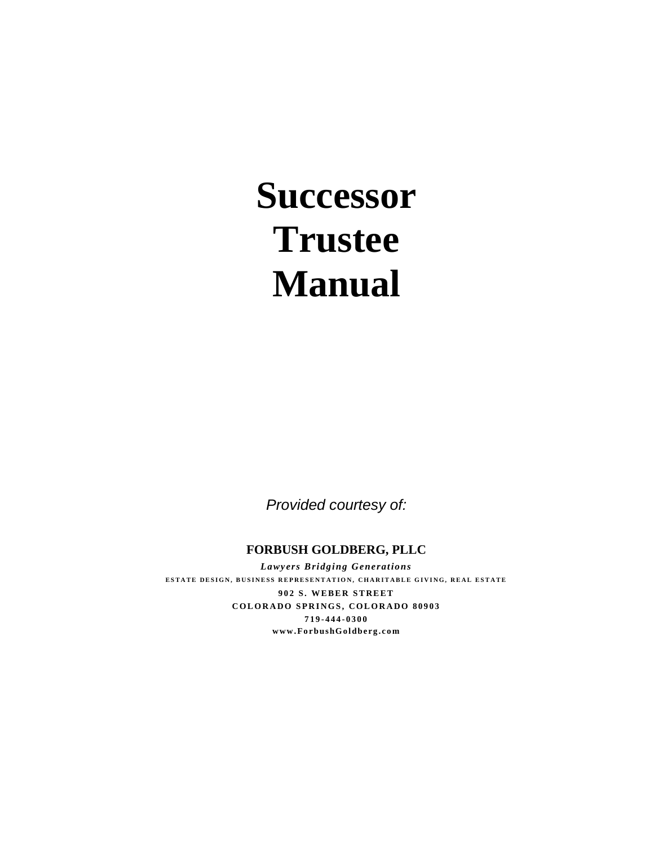# **Successor Trustee Manual**

*Provided courtesy of:*

**FORBUSH GOLDBERG, PLLC**

*Lawyers Bridging Generations* **ESTATE DESIGN, BUSINESS REPRESENTATION, CHARITABLE GIVING, REAL ESTATE 9 0 2 S . W E B E R S T R E E T** COLORADO SPRINGS, COLORADO 80903 **7 1 9 - 444 - 0 3 0 0 w ww .Fo rbushGo ldberg .co m**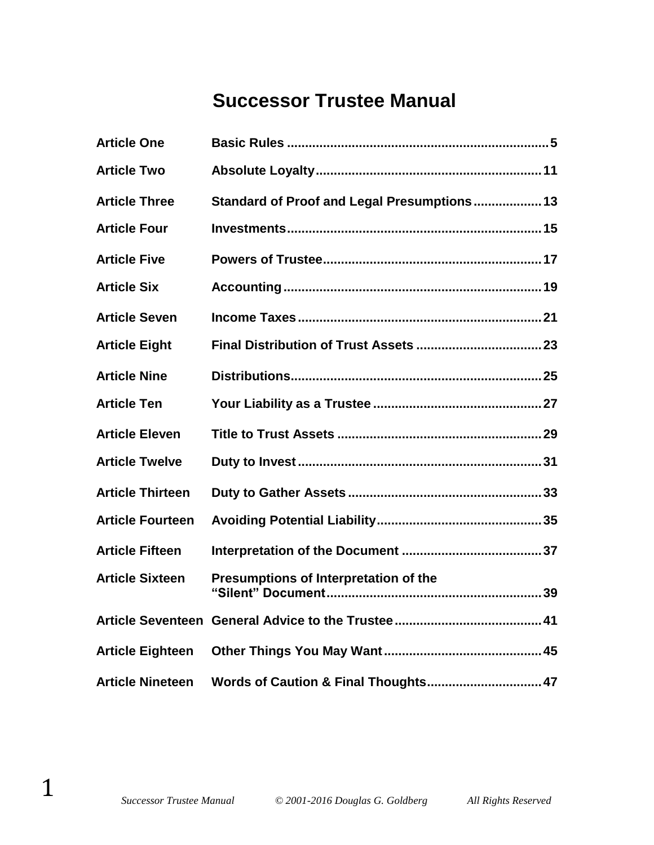# **Successor Trustee Manual**

| <b>Article One</b>      |                                             |
|-------------------------|---------------------------------------------|
| <b>Article Two</b>      |                                             |
| <b>Article Three</b>    | Standard of Proof and Legal Presumptions 13 |
| <b>Article Four</b>     |                                             |
| <b>Article Five</b>     |                                             |
| <b>Article Six</b>      |                                             |
| <b>Article Seven</b>    |                                             |
| <b>Article Eight</b>    |                                             |
| <b>Article Nine</b>     |                                             |
| <b>Article Ten</b>      |                                             |
| <b>Article Eleven</b>   |                                             |
| <b>Article Twelve</b>   |                                             |
| <b>Article Thirteen</b> |                                             |
| <b>Article Fourteen</b> |                                             |
| <b>Article Fifteen</b>  |                                             |
| <b>Article Sixteen</b>  | Presumptions of Interpretation of the       |
|                         |                                             |
| <b>Article Eighteen</b> |                                             |
| <b>Article Nineteen</b> | Words of Caution & Final Thoughts 47        |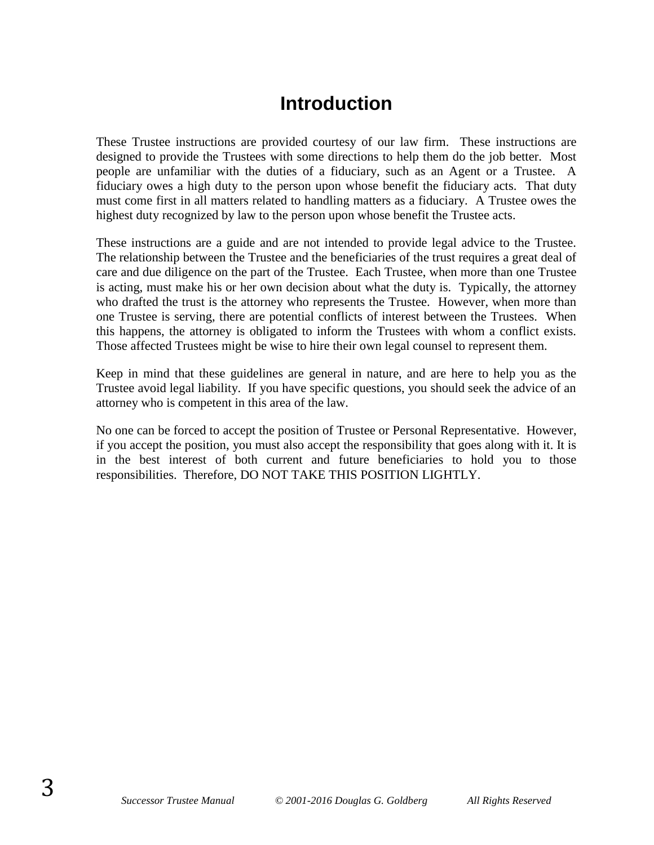# **Introduction**

These Trustee instructions are provided courtesy of our law firm. These instructions are designed to provide the Trustees with some directions to help them do the job better. Most people are unfamiliar with the duties of a fiduciary, such as an Agent or a Trustee. A fiduciary owes a high duty to the person upon whose benefit the fiduciary acts. That duty must come first in all matters related to handling matters as a fiduciary. A Trustee owes the highest duty recognized by law to the person upon whose benefit the Trustee acts.

These instructions are a guide and are not intended to provide legal advice to the Trustee. The relationship between the Trustee and the beneficiaries of the trust requires a great deal of care and due diligence on the part of the Trustee. Each Trustee, when more than one Trustee is acting, must make his or her own decision about what the duty is. Typically, the attorney who drafted the trust is the attorney who represents the Trustee. However, when more than one Trustee is serving, there are potential conflicts of interest between the Trustees. When this happens, the attorney is obligated to inform the Trustees with whom a conflict exists. Those affected Trustees might be wise to hire their own legal counsel to represent them.

Keep in mind that these guidelines are general in nature, and are here to help you as the Trustee avoid legal liability. If you have specific questions, you should seek the advice of an attorney who is competent in this area of the law.

No one can be forced to accept the position of Trustee or Personal Representative. However, if you accept the position, you must also accept the responsibility that goes along with it. It is in the best interest of both current and future beneficiaries to hold you to those responsibilities. Therefore, DO NOT TAKE THIS POSITION LIGHTLY.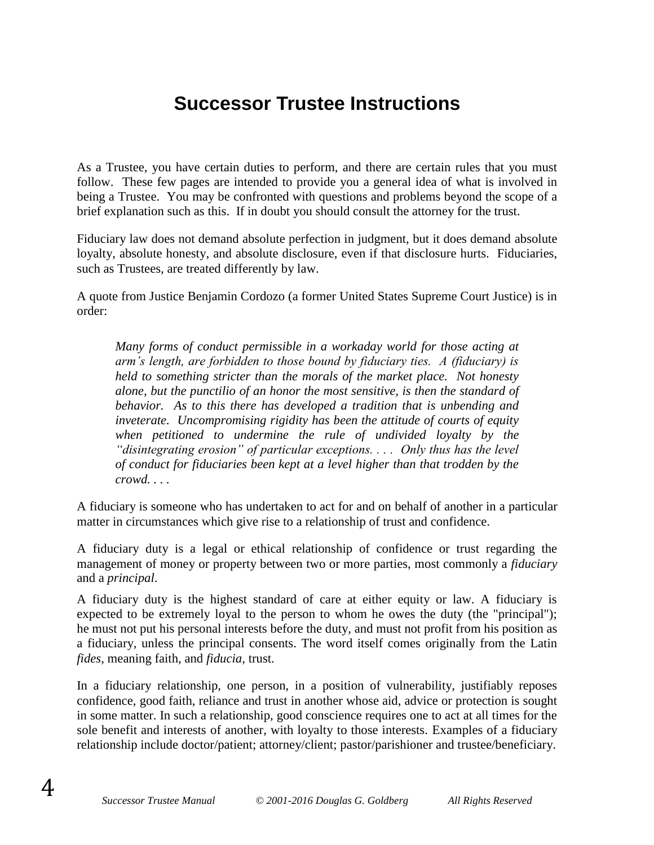## **Successor Trustee Instructions**

As a Trustee, you have certain duties to perform, and there are certain rules that you must follow. These few pages are intended to provide you a general idea of what is involved in being a Trustee. You may be confronted with questions and problems beyond the scope of a brief explanation such as this. If in doubt you should consult the attorney for the trust.

Fiduciary law does not demand absolute perfection in judgment, but it does demand absolute loyalty, absolute honesty, and absolute disclosure, even if that disclosure hurts. Fiduciaries, such as Trustees, are treated differently by law.

A quote from Justice Benjamin Cordozo (a former United States Supreme Court Justice) is in order:

*Many forms of conduct permissible in a workaday world for those acting at arm's length, are forbidden to those bound by fiduciary ties. A (fiduciary) is held to something stricter than the morals of the market place. Not honesty alone, but the punctilio of an honor the most sensitive, is then the standard of behavior. As to this there has developed a tradition that is unbending and inveterate. Uncompromising rigidity has been the attitude of courts of equity when petitioned to undermine the rule of undivided loyalty by the "disintegrating erosion" of particular exceptions. . . . Only thus has the level of conduct for fiduciaries been kept at a level higher than that trodden by the crowd. . . .*

A fiduciary is someone who has undertaken to act for and on behalf of another in a particular matter in circumstances which give rise to a relationship of trust and confidence.

A fiduciary duty is a legal or ethical relationship of confidence or trust regarding the management of money or property between two or more parties, most commonly a *fiduciary* and a *principal*.

A fiduciary duty is the highest standard of care at either equity or law. A fiduciary is expected to be extremely loyal to the person to whom he owes the duty (the "principal"); he must not put his personal interests before the duty, and must not profit from his position as a fiduciary, unless the principal consents. The word itself comes originally from the Latin *fides*, meaning faith, and *fiducia*, trust.

In a fiduciary relationship, one person, in a position of vulnerability, justifiably reposes confidence, good faith, reliance and trust in another whose aid, advice or protection is sought in some matter. In such a relationship, good conscience requires one to act at all times for the sole benefit and interests of another, with loyalty to those interests. Examples of a fiduciary relationship include doctor/patient; attorney/client; pastor/parishioner and trustee/beneficiary.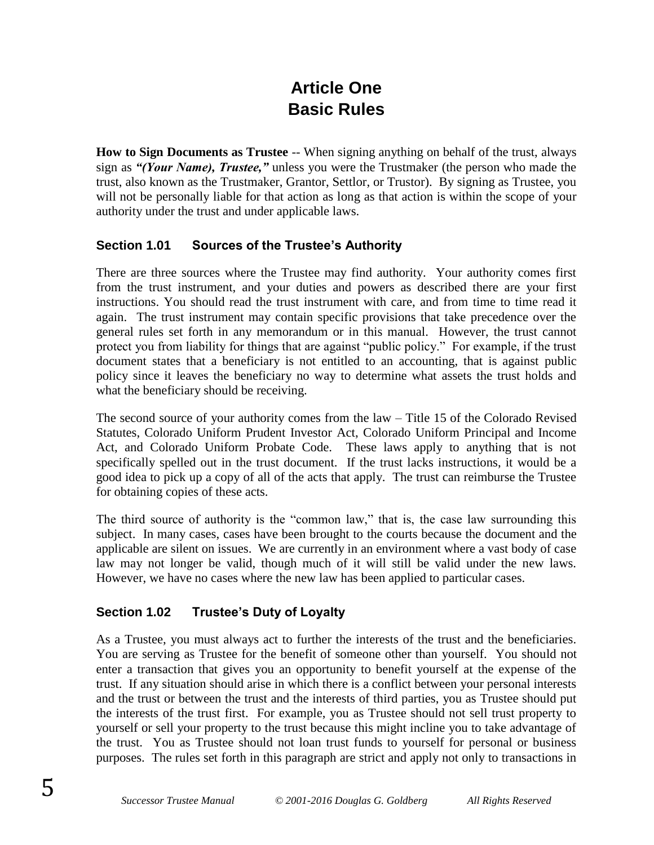## **Article One Basic Rules**

**How to Sign Documents as Trustee** -- When signing anything on behalf of the trust, always sign as *"(Your Name), Trustee,"* unless you were the Trustmaker (the person who made the trust, also known as the Trustmaker, Grantor, Settlor, or Trustor). By signing as Trustee, you will not be personally liable for that action as long as that action is within the scope of your authority under the trust and under applicable laws.

#### **Section 1.01 Sources of the Trustee's Authority**

There are three sources where the Trustee may find authority. Your authority comes first from the trust instrument, and your duties and powers as described there are your first instructions. You should read the trust instrument with care, and from time to time read it again. The trust instrument may contain specific provisions that take precedence over the general rules set forth in any memorandum or in this manual. However, the trust cannot protect you from liability for things that are against "public policy." For example, if the trust document states that a beneficiary is not entitled to an accounting, that is against public policy since it leaves the beneficiary no way to determine what assets the trust holds and what the beneficiary should be receiving.

The second source of your authority comes from the law – Title 15 of the Colorado Revised Statutes, Colorado Uniform Prudent Investor Act, Colorado Uniform Principal and Income Act, and Colorado Uniform Probate Code. These laws apply to anything that is not specifically spelled out in the trust document. If the trust lacks instructions, it would be a good idea to pick up a copy of all of the acts that apply. The trust can reimburse the Trustee for obtaining copies of these acts.

The third source of authority is the "common law," that is, the case law surrounding this subject. In many cases, cases have been brought to the courts because the document and the applicable are silent on issues. We are currently in an environment where a vast body of case law may not longer be valid, though much of it will still be valid under the new laws. However, we have no cases where the new law has been applied to particular cases.

#### **Section 1.02 Trustee's Duty of Loyalty**

As a Trustee, you must always act to further the interests of the trust and the beneficiaries. You are serving as Trustee for the benefit of someone other than yourself. You should not enter a transaction that gives you an opportunity to benefit yourself at the expense of the trust. If any situation should arise in which there is a conflict between your personal interests and the trust or between the trust and the interests of third parties, you as Trustee should put the interests of the trust first. For example, you as Trustee should not sell trust property to yourself or sell your property to the trust because this might incline you to take advantage of the trust. You as Trustee should not loan trust funds to yourself for personal or business purposes. The rules set forth in this paragraph are strict and apply not only to transactions in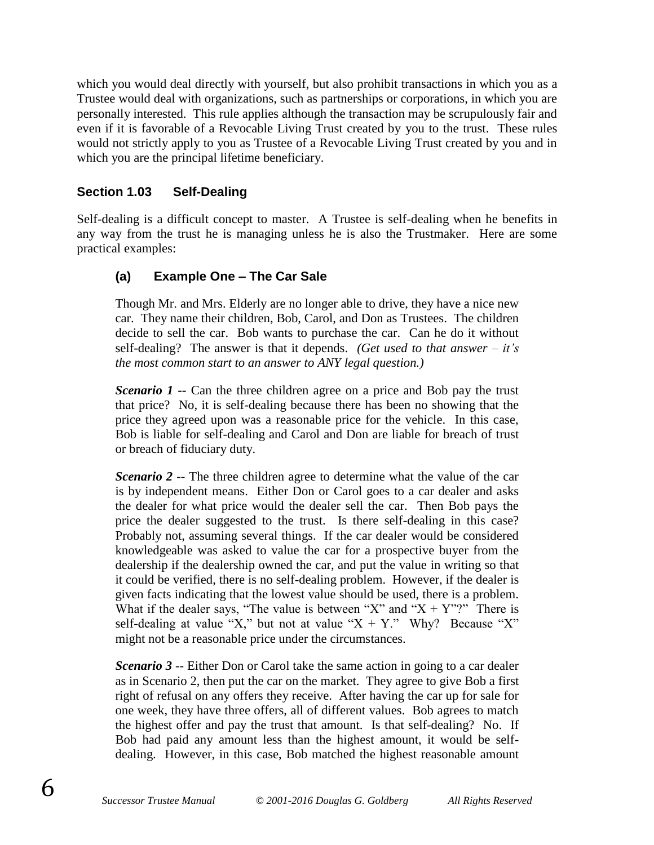which you would deal directly with yourself, but also prohibit transactions in which you as a Trustee would deal with organizations, such as partnerships or corporations, in which you are personally interested. This rule applies although the transaction may be scrupulously fair and even if it is favorable of a Revocable Living Trust created by you to the trust. These rules would not strictly apply to you as Trustee of a Revocable Living Trust created by you and in which you are the principal lifetime beneficiary.

#### **Section 1.03 Self-Dealing**

Self-dealing is a difficult concept to master. A Trustee is self-dealing when he benefits in any way from the trust he is managing unless he is also the Trustmaker. Here are some practical examples:

#### **(a) Example One – The Car Sale**

Though Mr. and Mrs. Elderly are no longer able to drive, they have a nice new car. They name their children, Bob, Carol, and Don as Trustees. The children decide to sell the car. Bob wants to purchase the car. Can he do it without self-dealing? The answer is that it depends. *(Get used to that answer – it's the most common start to an answer to ANY legal question.)*

*Scenario 1 --* Can the three children agree on a price and Bob pay the trust that price? No, it is self-dealing because there has been no showing that the price they agreed upon was a reasonable price for the vehicle. In this case, Bob is liable for self-dealing and Carol and Don are liable for breach of trust or breach of fiduciary duty.

**Scenario 2** -- The three children agree to determine what the value of the car is by independent means. Either Don or Carol goes to a car dealer and asks the dealer for what price would the dealer sell the car. Then Bob pays the price the dealer suggested to the trust. Is there self-dealing in this case? Probably not, assuming several things. If the car dealer would be considered knowledgeable was asked to value the car for a prospective buyer from the dealership if the dealership owned the car, and put the value in writing so that it could be verified, there is no self-dealing problem. However, if the dealer is given facts indicating that the lowest value should be used, there is a problem. What if the dealer says, "The value is between "X" and " $X + Y$ "?" There is self-dealing at value "X," but not at value "X + Y." Why? Because "X" might not be a reasonable price under the circumstances.

**Scenario 3** -- Either Don or Carol take the same action in going to a car dealer as in Scenario 2, then put the car on the market. They agree to give Bob a first right of refusal on any offers they receive. After having the car up for sale for one week, they have three offers, all of different values. Bob agrees to match the highest offer and pay the trust that amount. Is that self-dealing? No. If Bob had paid any amount less than the highest amount, it would be selfdealing. However, in this case, Bob matched the highest reasonable amount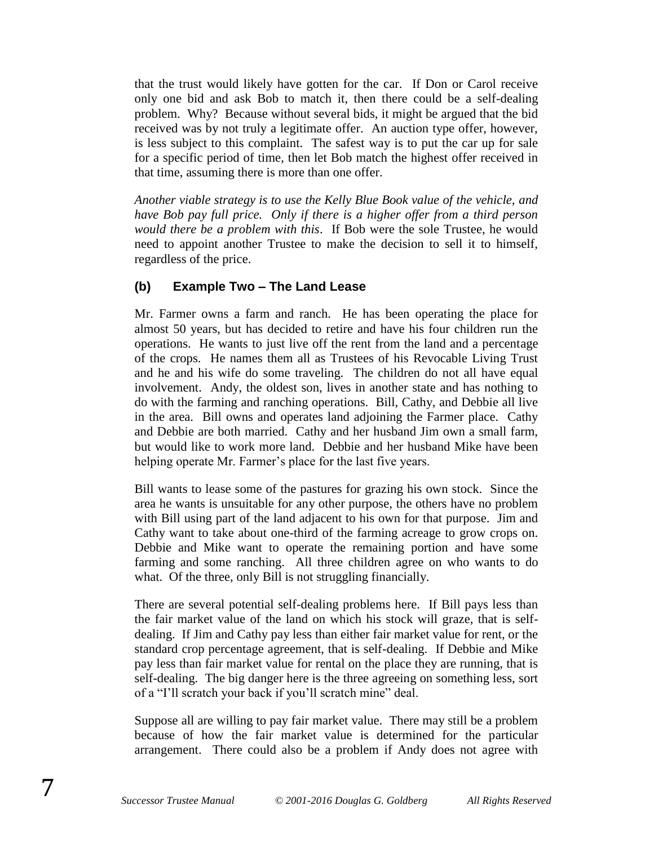that the trust would likely have gotten for the car. If Don or Carol receive only one bid and ask Bob to match it, then there could be a self-dealing problem. Why? Because without several bids, it might be argued that the bid received was by not truly a legitimate offer. An auction type offer, however, is less subject to this complaint. The safest way is to put the car up for sale for a specific period of time, then let Bob match the highest offer received in that time, assuming there is more than one offer.

*Another viable strategy is to use the Kelly Blue Book value of the vehicle, and have Bob pay full price. Only if there is a higher offer from a third person would there be a problem with this*. If Bob were the sole Trustee, he would need to appoint another Trustee to make the decision to sell it to himself, regardless of the price.

#### **(b) Example Two – The Land Lease**

Mr. Farmer owns a farm and ranch. He has been operating the place for almost 50 years, but has decided to retire and have his four children run the operations. He wants to just live off the rent from the land and a percentage of the crops. He names them all as Trustees of his Revocable Living Trust and he and his wife do some traveling. The children do not all have equal involvement. Andy, the oldest son, lives in another state and has nothing to do with the farming and ranching operations. Bill, Cathy, and Debbie all live in the area. Bill owns and operates land adjoining the Farmer place. Cathy and Debbie are both married. Cathy and her husband Jim own a small farm, but would like to work more land. Debbie and her husband Mike have been helping operate Mr. Farmer's place for the last five years.

Bill wants to lease some of the pastures for grazing his own stock. Since the area he wants is unsuitable for any other purpose, the others have no problem with Bill using part of the land adjacent to his own for that purpose. Jim and Cathy want to take about one-third of the farming acreage to grow crops on. Debbie and Mike want to operate the remaining portion and have some farming and some ranching. All three children agree on who wants to do what. Of the three, only Bill is not struggling financially.

There are several potential self-dealing problems here. If Bill pays less than the fair market value of the land on which his stock will graze, that is selfdealing. If Jim and Cathy pay less than either fair market value for rent, or the standard crop percentage agreement, that is self-dealing. If Debbie and Mike pay less than fair market value for rental on the place they are running, that is self-dealing. The big danger here is the three agreeing on something less, sort of a "I'll scratch your back if you'll scratch mine" deal.

Suppose all are willing to pay fair market value. There may still be a problem because of how the fair market value is determined for the particular arrangement. There could also be a problem if Andy does not agree with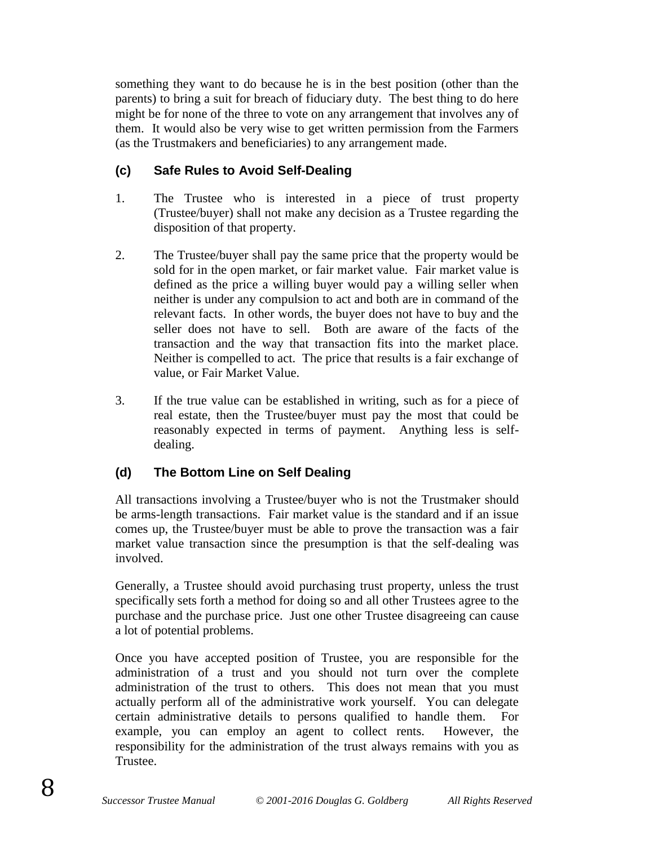something they want to do because he is in the best position (other than the parents) to bring a suit for breach of fiduciary duty. The best thing to do here might be for none of the three to vote on any arrangement that involves any of them. It would also be very wise to get written permission from the Farmers (as the Trustmakers and beneficiaries) to any arrangement made.

#### **(c) Safe Rules to Avoid Self-Dealing**

- 1. The Trustee who is interested in a piece of trust property (Trustee/buyer) shall not make any decision as a Trustee regarding the disposition of that property.
- 2. The Trustee/buyer shall pay the same price that the property would be sold for in the open market, or fair market value. Fair market value is defined as the price a willing buyer would pay a willing seller when neither is under any compulsion to act and both are in command of the relevant facts. In other words, the buyer does not have to buy and the seller does not have to sell. Both are aware of the facts of the transaction and the way that transaction fits into the market place. Neither is compelled to act. The price that results is a fair exchange of value, or Fair Market Value.
- 3. If the true value can be established in writing, such as for a piece of real estate, then the Trustee/buyer must pay the most that could be reasonably expected in terms of payment. Anything less is selfdealing.

#### **(d) The Bottom Line on Self Dealing**

All transactions involving a Trustee/buyer who is not the Trustmaker should be arms-length transactions. Fair market value is the standard and if an issue comes up, the Trustee/buyer must be able to prove the transaction was a fair market value transaction since the presumption is that the self-dealing was involved.

Generally, a Trustee should avoid purchasing trust property, unless the trust specifically sets forth a method for doing so and all other Trustees agree to the purchase and the purchase price. Just one other Trustee disagreeing can cause a lot of potential problems.

Once you have accepted position of Trustee, you are responsible for the administration of a trust and you should not turn over the complete administration of the trust to others. This does not mean that you must actually perform all of the administrative work yourself. You can delegate certain administrative details to persons qualified to handle them. For example, you can employ an agent to collect rents. However, the responsibility for the administration of the trust always remains with you as Trustee.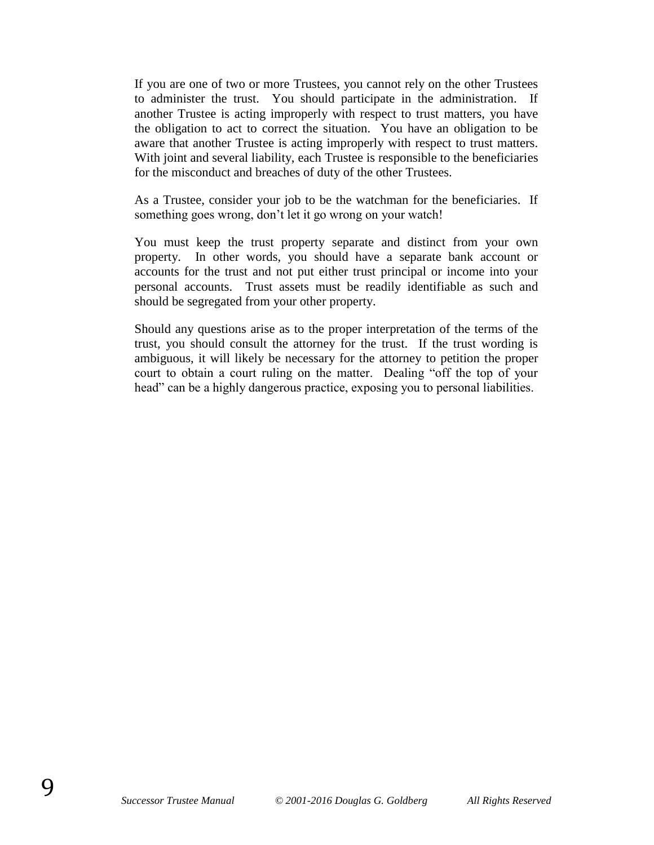If you are one of two or more Trustees, you cannot rely on the other Trustees to administer the trust. You should participate in the administration. If another Trustee is acting improperly with respect to trust matters, you have the obligation to act to correct the situation. You have an obligation to be aware that another Trustee is acting improperly with respect to trust matters. With joint and several liability, each Trustee is responsible to the beneficiaries for the misconduct and breaches of duty of the other Trustees.

As a Trustee, consider your job to be the watchman for the beneficiaries. If something goes wrong, don't let it go wrong on your watch!

You must keep the trust property separate and distinct from your own property. In other words, you should have a separate bank account or accounts for the trust and not put either trust principal or income into your personal accounts. Trust assets must be readily identifiable as such and should be segregated from your other property.

Should any questions arise as to the proper interpretation of the terms of the trust, you should consult the attorney for the trust. If the trust wording is ambiguous, it will likely be necessary for the attorney to petition the proper court to obtain a court ruling on the matter. Dealing "off the top of your head" can be a highly dangerous practice, exposing you to personal liabilities.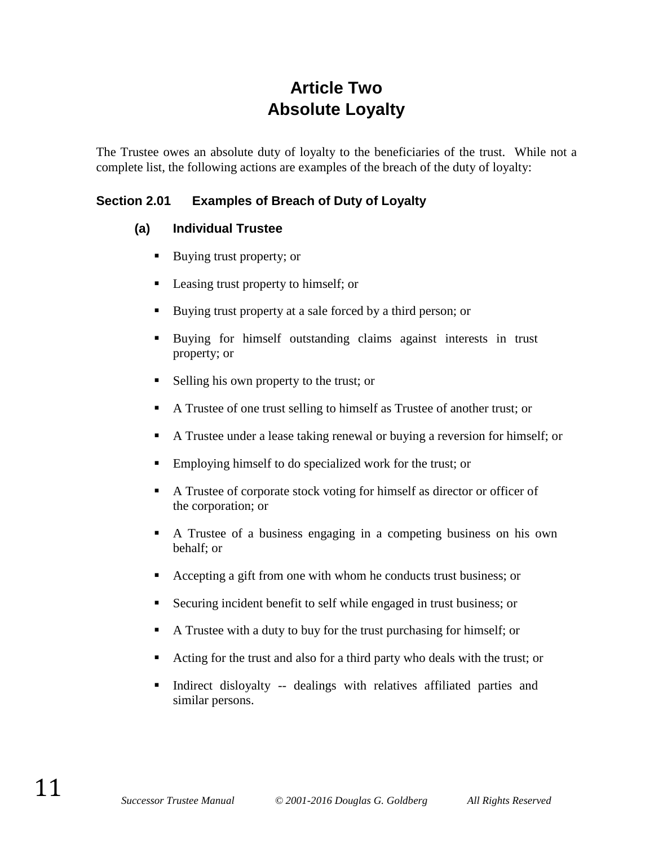## **Article Two Absolute Loyalty**

The Trustee owes an absolute duty of loyalty to the beneficiaries of the trust. While not a complete list, the following actions are examples of the breach of the duty of loyalty:

#### **Section 2.01 Examples of Breach of Duty of Loyalty**

#### **(a) Individual Trustee**

- Buying trust property; or
- **Leasing trust property to himself; or**
- Buying trust property at a sale forced by a third person; or
- Buying for himself outstanding claims against interests in trust property; or
- Selling his own property to the trust; or
- A Trustee of one trust selling to himself as Trustee of another trust; or
- A Trustee under a lease taking renewal or buying a reversion for himself; or
- **Employing himself to do specialized work for the trust; or**
- A Trustee of corporate stock voting for himself as director or officer of the corporation; or
- A Trustee of a business engaging in a competing business on his own behalf; or
- Accepting a gift from one with whom he conducts trust business; or
- Securing incident benefit to self while engaged in trust business; or
- A Trustee with a duty to buy for the trust purchasing for himself; or
- Acting for the trust and also for a third party who deals with the trust; or
- Indirect disloyalty -- dealings with relatives affiliated parties and similar persons.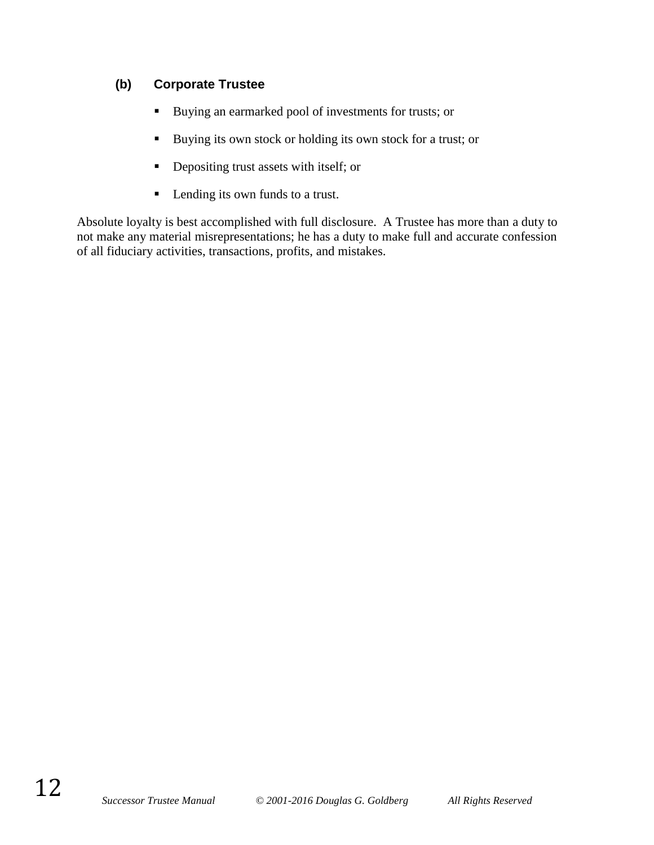#### **(b) Corporate Trustee**

- Buying an earmarked pool of investments for trusts; or
- Buying its own stock or holding its own stock for a trust; or
- **•** Depositing trust assets with itself; or
- Lending its own funds to a trust.

Absolute loyalty is best accomplished with full disclosure. A Trustee has more than a duty to not make any material misrepresentations; he has a duty to make full and accurate confession of all fiduciary activities, transactions, profits, and mistakes.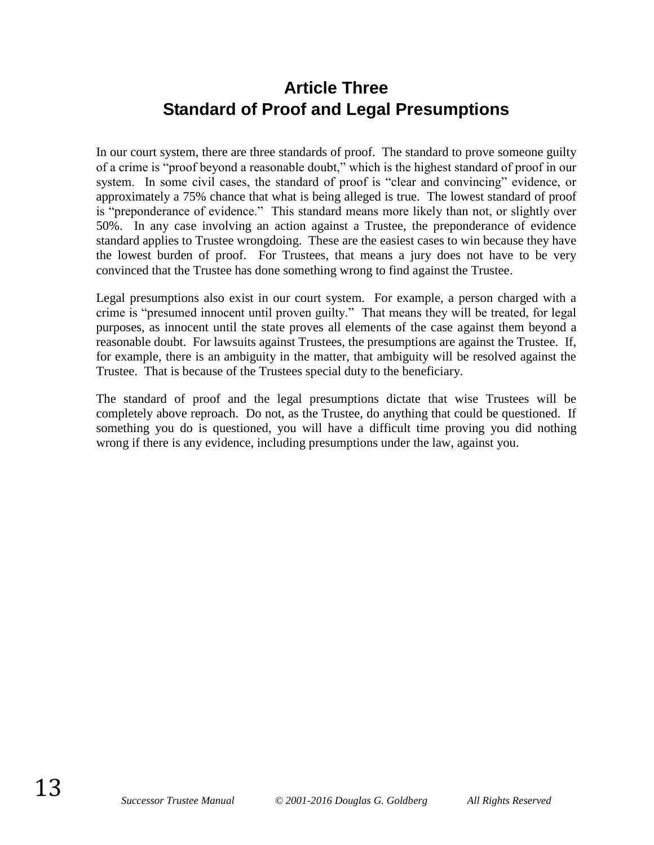## **Article Three Standard of Proof and Legal Presumptions**

In our court system, there are three standards of proof. The standard to prove someone guilty of a crime is "proof beyond a reasonable doubt," which is the highest standard of proof in our system. In some civil cases, the standard of proof is "clear and convincing" evidence, or approximately a 75% chance that what is being alleged is true. The lowest standard of proof is "preponderance of evidence." This standard means more likely than not, or slightly over 50%. In any case involving an action against a Trustee, the preponderance of evidence standard applies to Trustee wrongdoing. These are the easiest cases to win because they have the lowest burden of proof. For Trustees, that means a jury does not have to be very convinced that the Trustee has done something wrong to find against the Trustee.

Legal presumptions also exist in our court system. For example, a person charged with a crime is "presumed innocent until proven guilty." That means they will be treated, for legal purposes, as innocent until the state proves all elements of the case against them beyond a reasonable doubt. For lawsuits against Trustees, the presumptions are against the Trustee. If, for example, there is an ambiguity in the matter, that ambiguity will be resolved against the Trustee. That is because of the Trustees special duty to the beneficiary.

The standard of proof and the legal presumptions dictate that wise Trustees will be completely above reproach. Do not, as the Trustee, do anything that could be questioned. If something you do is questioned, you will have a difficult time proving you did nothing wrong if there is any evidence, including presumptions under the law, against you.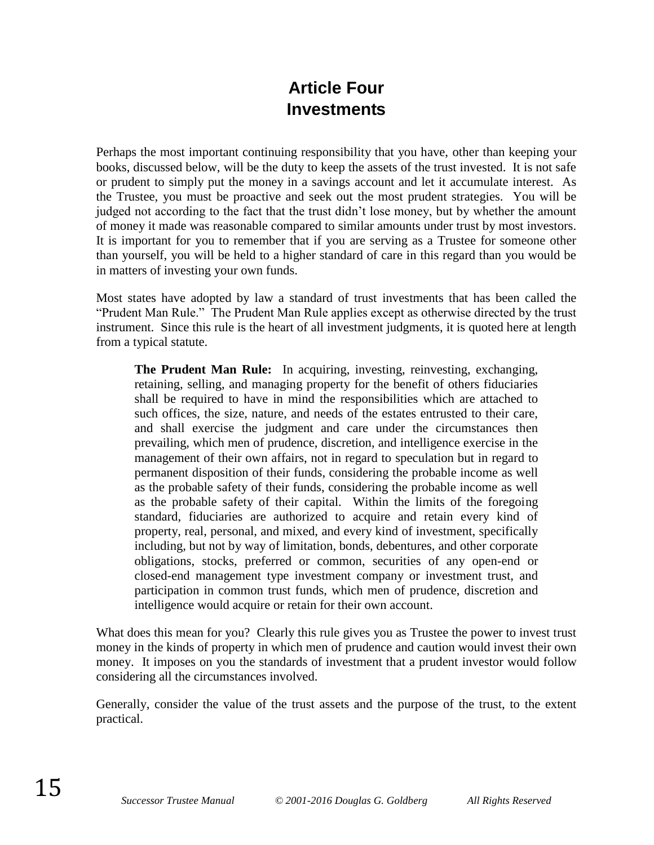## **Article Four Investments**

Perhaps the most important continuing responsibility that you have, other than keeping your books, discussed below, will be the duty to keep the assets of the trust invested. It is not safe or prudent to simply put the money in a savings account and let it accumulate interest. As the Trustee, you must be proactive and seek out the most prudent strategies. You will be judged not according to the fact that the trust didn't lose money, but by whether the amount of money it made was reasonable compared to similar amounts under trust by most investors. It is important for you to remember that if you are serving as a Trustee for someone other than yourself, you will be held to a higher standard of care in this regard than you would be in matters of investing your own funds.

Most states have adopted by law a standard of trust investments that has been called the "Prudent Man Rule." The Prudent Man Rule applies except as otherwise directed by the trust instrument. Since this rule is the heart of all investment judgments, it is quoted here at length from a typical statute.

**The Prudent Man Rule:** In acquiring, investing, reinvesting, exchanging, retaining, selling, and managing property for the benefit of others fiduciaries shall be required to have in mind the responsibilities which are attached to such offices, the size, nature, and needs of the estates entrusted to their care, and shall exercise the judgment and care under the circumstances then prevailing, which men of prudence, discretion, and intelligence exercise in the management of their own affairs, not in regard to speculation but in regard to permanent disposition of their funds, considering the probable income as well as the probable safety of their funds, considering the probable income as well as the probable safety of their capital. Within the limits of the foregoing standard, fiduciaries are authorized to acquire and retain every kind of property, real, personal, and mixed, and every kind of investment, specifically including, but not by way of limitation, bonds, debentures, and other corporate obligations, stocks, preferred or common, securities of any open-end or closed-end management type investment company or investment trust, and participation in common trust funds, which men of prudence, discretion and intelligence would acquire or retain for their own account.

What does this mean for you? Clearly this rule gives you as Trustee the power to invest trust money in the kinds of property in which men of prudence and caution would invest their own money. It imposes on you the standards of investment that a prudent investor would follow considering all the circumstances involved.

Generally, consider the value of the trust assets and the purpose of the trust, to the extent practical.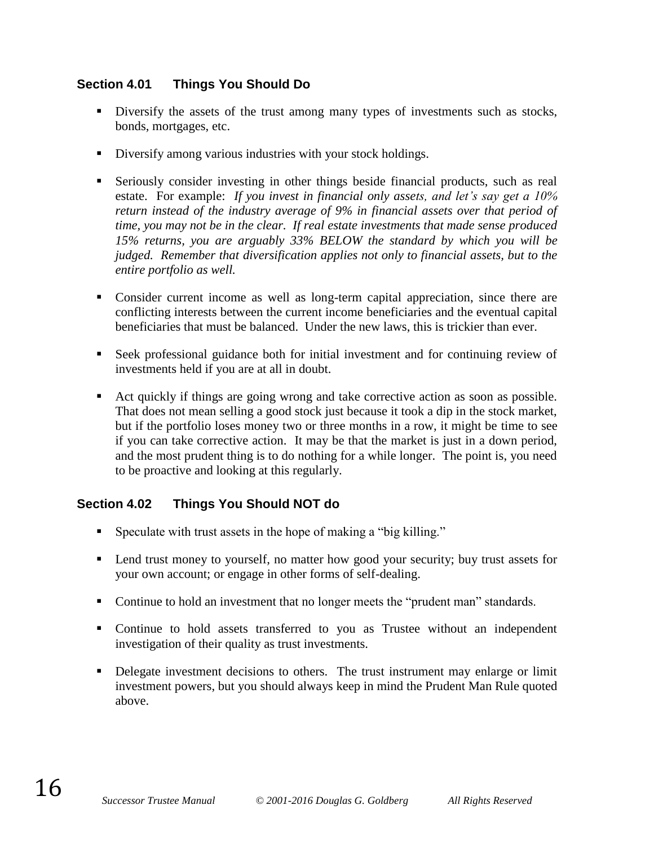#### **Section 4.01 Things You Should Do**

- Diversify the assets of the trust among many types of investments such as stocks, bonds, mortgages, etc.
- Diversify among various industries with your stock holdings.
- Seriously consider investing in other things beside financial products, such as real estate. For example: *If you invest in financial only assets, and let's say get a 10% return instead of the industry average of 9% in financial assets over that period of time, you may not be in the clear. If real estate investments that made sense produced 15% returns, you are arguably 33% BELOW the standard by which you will be judged. Remember that diversification applies not only to financial assets, but to the entire portfolio as well.*
- Consider current income as well as long-term capital appreciation, since there are conflicting interests between the current income beneficiaries and the eventual capital beneficiaries that must be balanced. Under the new laws, this is trickier than ever.
- Seek professional guidance both for initial investment and for continuing review of investments held if you are at all in doubt.
- Act quickly if things are going wrong and take corrective action as soon as possible. That does not mean selling a good stock just because it took a dip in the stock market, but if the portfolio loses money two or three months in a row, it might be time to see if you can take corrective action. It may be that the market is just in a down period, and the most prudent thing is to do nothing for a while longer. The point is, you need to be proactive and looking at this regularly.

#### **Section 4.02 Things You Should NOT do**

- Speculate with trust assets in the hope of making a "big killing."
- Lend trust money to yourself, no matter how good your security; buy trust assets for your own account; or engage in other forms of self-dealing.
- Continue to hold an investment that no longer meets the "prudent man" standards.
- Continue to hold assets transferred to you as Trustee without an independent investigation of their quality as trust investments.
- Delegate investment decisions to others. The trust instrument may enlarge or limit investment powers, but you should always keep in mind the Prudent Man Rule quoted above.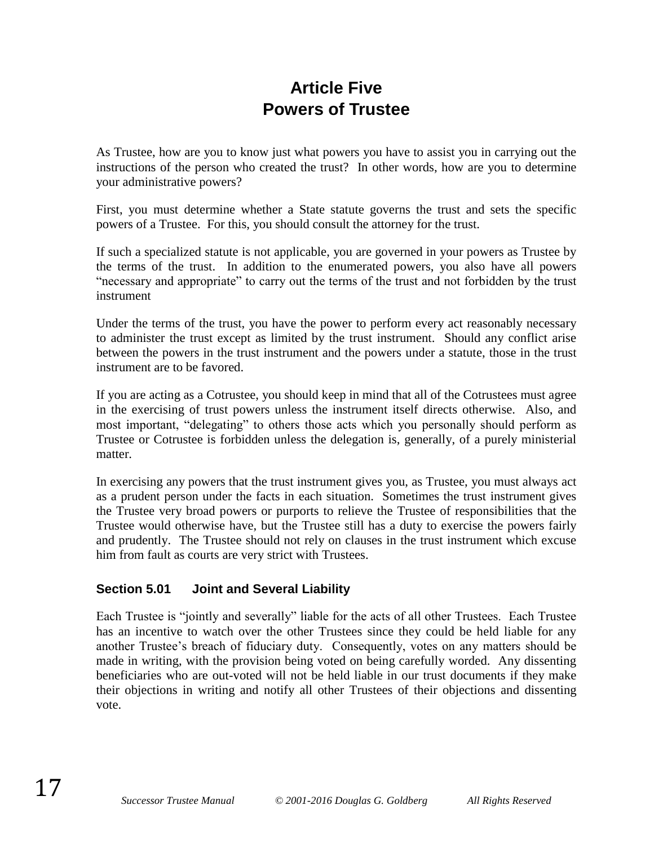## **Article Five Powers of Trustee**

As Trustee, how are you to know just what powers you have to assist you in carrying out the instructions of the person who created the trust? In other words, how are you to determine your administrative powers?

First, you must determine whether a State statute governs the trust and sets the specific powers of a Trustee. For this, you should consult the attorney for the trust.

If such a specialized statute is not applicable, you are governed in your powers as Trustee by the terms of the trust. In addition to the enumerated powers, you also have all powers "necessary and appropriate" to carry out the terms of the trust and not forbidden by the trust instrument

Under the terms of the trust, you have the power to perform every act reasonably necessary to administer the trust except as limited by the trust instrument. Should any conflict arise between the powers in the trust instrument and the powers under a statute, those in the trust instrument are to be favored.

If you are acting as a Cotrustee, you should keep in mind that all of the Cotrustees must agree in the exercising of trust powers unless the instrument itself directs otherwise. Also, and most important, "delegating" to others those acts which you personally should perform as Trustee or Cotrustee is forbidden unless the delegation is, generally, of a purely ministerial matter.

In exercising any powers that the trust instrument gives you, as Trustee, you must always act as a prudent person under the facts in each situation. Sometimes the trust instrument gives the Trustee very broad powers or purports to relieve the Trustee of responsibilities that the Trustee would otherwise have, but the Trustee still has a duty to exercise the powers fairly and prudently. The Trustee should not rely on clauses in the trust instrument which excuse him from fault as courts are very strict with Trustees.

#### **Section 5.01 Joint and Several Liability**

Each Trustee is "jointly and severally" liable for the acts of all other Trustees. Each Trustee has an incentive to watch over the other Trustees since they could be held liable for any another Trustee's breach of fiduciary duty. Consequently, votes on any matters should be made in writing, with the provision being voted on being carefully worded. Any dissenting beneficiaries who are out-voted will not be held liable in our trust documents if they make their objections in writing and notify all other Trustees of their objections and dissenting vote.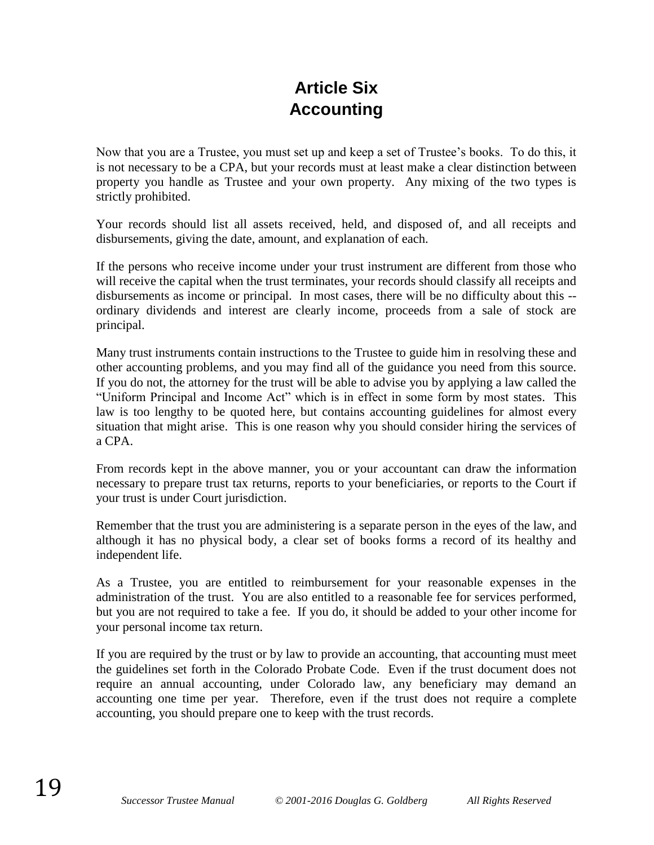## **Article Six Accounting**

Now that you are a Trustee, you must set up and keep a set of Trustee's books. To do this, it is not necessary to be a CPA, but your records must at least make a clear distinction between property you handle as Trustee and your own property. Any mixing of the two types is strictly prohibited.

Your records should list all assets received, held, and disposed of, and all receipts and disbursements, giving the date, amount, and explanation of each.

If the persons who receive income under your trust instrument are different from those who will receive the capital when the trust terminates, your records should classify all receipts and disbursements as income or principal. In most cases, there will be no difficulty about this - ordinary dividends and interest are clearly income, proceeds from a sale of stock are principal.

Many trust instruments contain instructions to the Trustee to guide him in resolving these and other accounting problems, and you may find all of the guidance you need from this source. If you do not, the attorney for the trust will be able to advise you by applying a law called the "Uniform Principal and Income Act" which is in effect in some form by most states. This law is too lengthy to be quoted here, but contains accounting guidelines for almost every situation that might arise. This is one reason why you should consider hiring the services of a CPA.

From records kept in the above manner, you or your accountant can draw the information necessary to prepare trust tax returns, reports to your beneficiaries, or reports to the Court if your trust is under Court jurisdiction.

Remember that the trust you are administering is a separate person in the eyes of the law, and although it has no physical body, a clear set of books forms a record of its healthy and independent life.

As a Trustee, you are entitled to reimbursement for your reasonable expenses in the administration of the trust. You are also entitled to a reasonable fee for services performed, but you are not required to take a fee. If you do, it should be added to your other income for your personal income tax return.

If you are required by the trust or by law to provide an accounting, that accounting must meet the guidelines set forth in the Colorado Probate Code. Even if the trust document does not require an annual accounting, under Colorado law, any beneficiary may demand an accounting one time per year. Therefore, even if the trust does not require a complete accounting, you should prepare one to keep with the trust records.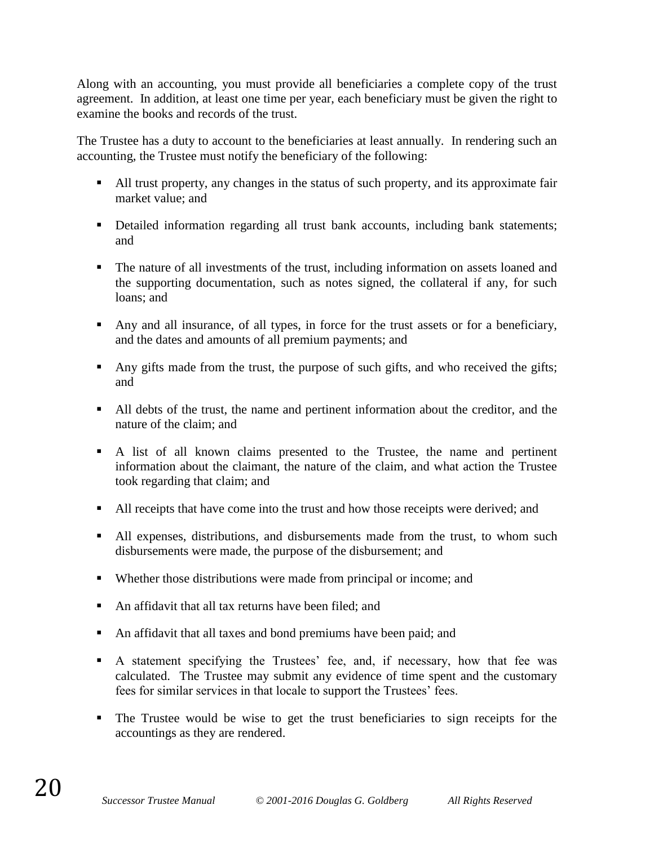Along with an accounting, you must provide all beneficiaries a complete copy of the trust agreement. In addition, at least one time per year, each beneficiary must be given the right to examine the books and records of the trust.

The Trustee has a duty to account to the beneficiaries at least annually. In rendering such an accounting, the Trustee must notify the beneficiary of the following:

- All trust property, any changes in the status of such property, and its approximate fair market value; and
- Detailed information regarding all trust bank accounts, including bank statements; and
- The nature of all investments of the trust, including information on assets loaned and the supporting documentation, such as notes signed, the collateral if any, for such loans; and
- Any and all insurance, of all types, in force for the trust assets or for a beneficiary, and the dates and amounts of all premium payments; and
- Any gifts made from the trust, the purpose of such gifts, and who received the gifts; and
- All debts of the trust, the name and pertinent information about the creditor, and the nature of the claim; and
- A list of all known claims presented to the Trustee, the name and pertinent information about the claimant, the nature of the claim, and what action the Trustee took regarding that claim; and
- All receipts that have come into the trust and how those receipts were derived; and
- All expenses, distributions, and disbursements made from the trust, to whom such disbursements were made, the purpose of the disbursement; and
- Whether those distributions were made from principal or income; and
- An affidavit that all tax returns have been filed; and
- An affidavit that all taxes and bond premiums have been paid; and
- A statement specifying the Trustees' fee, and, if necessary, how that fee was calculated. The Trustee may submit any evidence of time spent and the customary fees for similar services in that locale to support the Trustees' fees.
- The Trustee would be wise to get the trust beneficiaries to sign receipts for the accountings as they are rendered.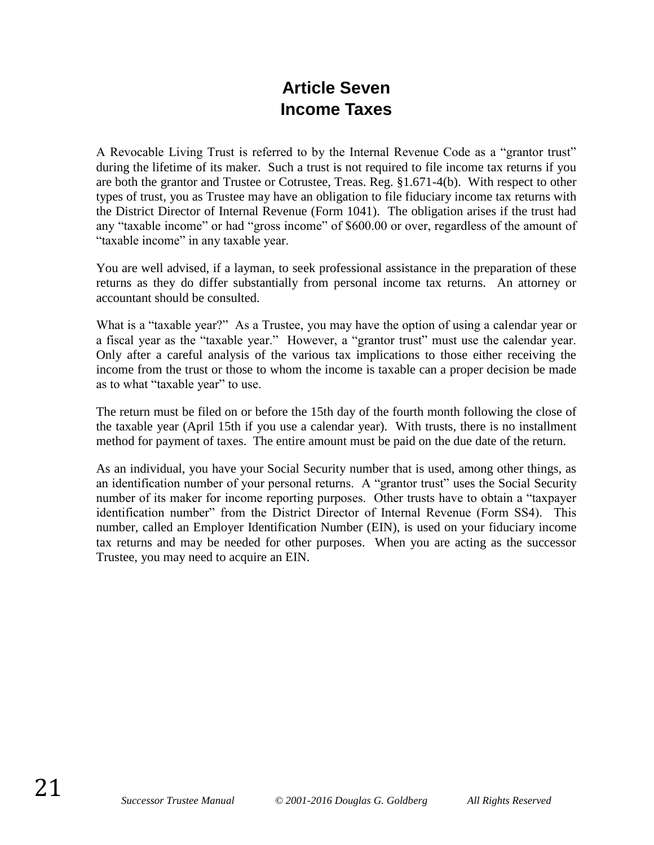## **Article Seven Income Taxes**

A Revocable Living Trust is referred to by the Internal Revenue Code as a "grantor trust" during the lifetime of its maker. Such a trust is not required to file income tax returns if you are both the grantor and Trustee or Cotrustee, Treas. Reg. §1.671-4(b). With respect to other types of trust, you as Trustee may have an obligation to file fiduciary income tax returns with the District Director of Internal Revenue (Form 1041). The obligation arises if the trust had any "taxable income" or had "gross income" of \$600.00 or over, regardless of the amount of "taxable income" in any taxable year.

You are well advised, if a layman, to seek professional assistance in the preparation of these returns as they do differ substantially from personal income tax returns. An attorney or accountant should be consulted.

What is a "taxable year?" As a Trustee, you may have the option of using a calendar year or a fiscal year as the "taxable year." However, a "grantor trust" must use the calendar year. Only after a careful analysis of the various tax implications to those either receiving the income from the trust or those to whom the income is taxable can a proper decision be made as to what "taxable year" to use.

The return must be filed on or before the 15th day of the fourth month following the close of the taxable year (April 15th if you use a calendar year). With trusts, there is no installment method for payment of taxes. The entire amount must be paid on the due date of the return.

As an individual, you have your Social Security number that is used, among other things, as an identification number of your personal returns. A "grantor trust" uses the Social Security number of its maker for income reporting purposes. Other trusts have to obtain a "taxpayer identification number" from the District Director of Internal Revenue (Form SS4). This number, called an Employer Identification Number (EIN), is used on your fiduciary income tax returns and may be needed for other purposes. When you are acting as the successor Trustee, you may need to acquire an EIN.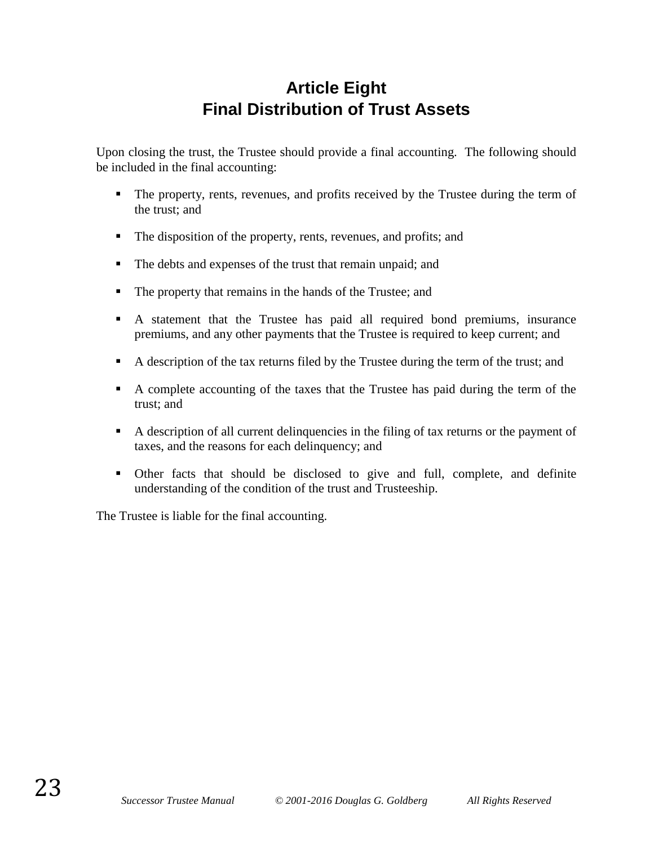## **Article Eight Final Distribution of Trust Assets**

Upon closing the trust, the Trustee should provide a final accounting. The following should be included in the final accounting:

- The property, rents, revenues, and profits received by the Trustee during the term of the trust; and
- The disposition of the property, rents, revenues, and profits; and
- The debts and expenses of the trust that remain unpaid; and
- The property that remains in the hands of the Trustee; and
- A statement that the Trustee has paid all required bond premiums, insurance premiums, and any other payments that the Trustee is required to keep current; and
- A description of the tax returns filed by the Trustee during the term of the trust; and
- A complete accounting of the taxes that the Trustee has paid during the term of the trust; and
- A description of all current delinquencies in the filing of tax returns or the payment of taxes, and the reasons for each delinquency; and
- Other facts that should be disclosed to give and full, complete, and definite understanding of the condition of the trust and Trusteeship.

The Trustee is liable for the final accounting.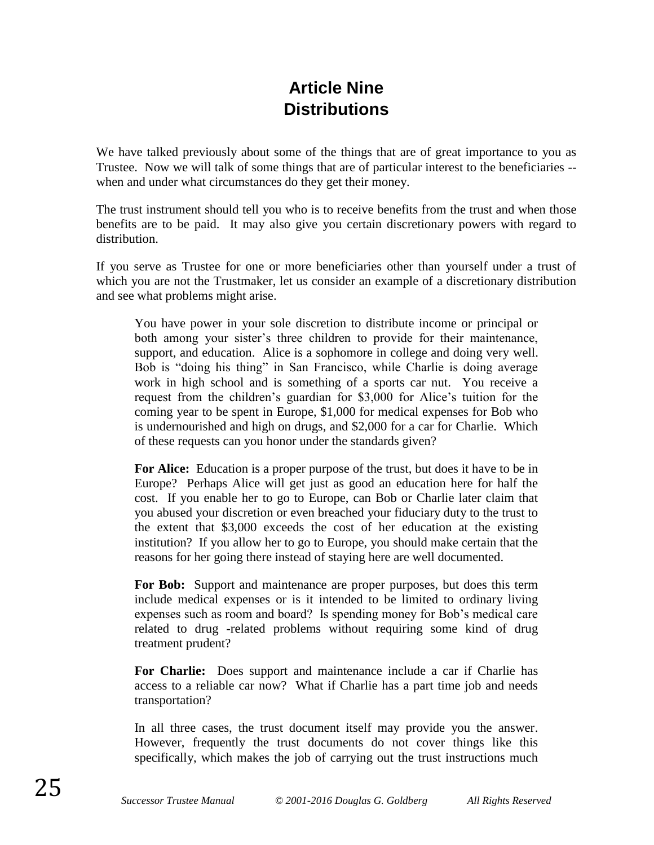## **Article Nine Distributions**

We have talked previously about some of the things that are of great importance to you as Trustee. Now we will talk of some things that are of particular interest to the beneficiaries - when and under what circumstances do they get their money.

The trust instrument should tell you who is to receive benefits from the trust and when those benefits are to be paid. It may also give you certain discretionary powers with regard to distribution.

If you serve as Trustee for one or more beneficiaries other than yourself under a trust of which you are not the Trustmaker, let us consider an example of a discretionary distribution and see what problems might arise.

You have power in your sole discretion to distribute income or principal or both among your sister's three children to provide for their maintenance, support, and education. Alice is a sophomore in college and doing very well. Bob is "doing his thing" in San Francisco, while Charlie is doing average work in high school and is something of a sports car nut. You receive a request from the children's guardian for \$3,000 for Alice's tuition for the coming year to be spent in Europe, \$1,000 for medical expenses for Bob who is undernourished and high on drugs, and \$2,000 for a car for Charlie. Which of these requests can you honor under the standards given?

**For Alice:** Education is a proper purpose of the trust, but does it have to be in Europe? Perhaps Alice will get just as good an education here for half the cost. If you enable her to go to Europe, can Bob or Charlie later claim that you abused your discretion or even breached your fiduciary duty to the trust to the extent that \$3,000 exceeds the cost of her education at the existing institution? If you allow her to go to Europe, you should make certain that the reasons for her going there instead of staying here are well documented.

For Bob: Support and maintenance are proper purposes, but does this term include medical expenses or is it intended to be limited to ordinary living expenses such as room and board? Is spending money for Bob's medical care related to drug -related problems without requiring some kind of drug treatment prudent?

**For Charlie:** Does support and maintenance include a car if Charlie has access to a reliable car now? What if Charlie has a part time job and needs transportation?

In all three cases, the trust document itself may provide you the answer. However, frequently the trust documents do not cover things like this specifically, which makes the job of carrying out the trust instructions much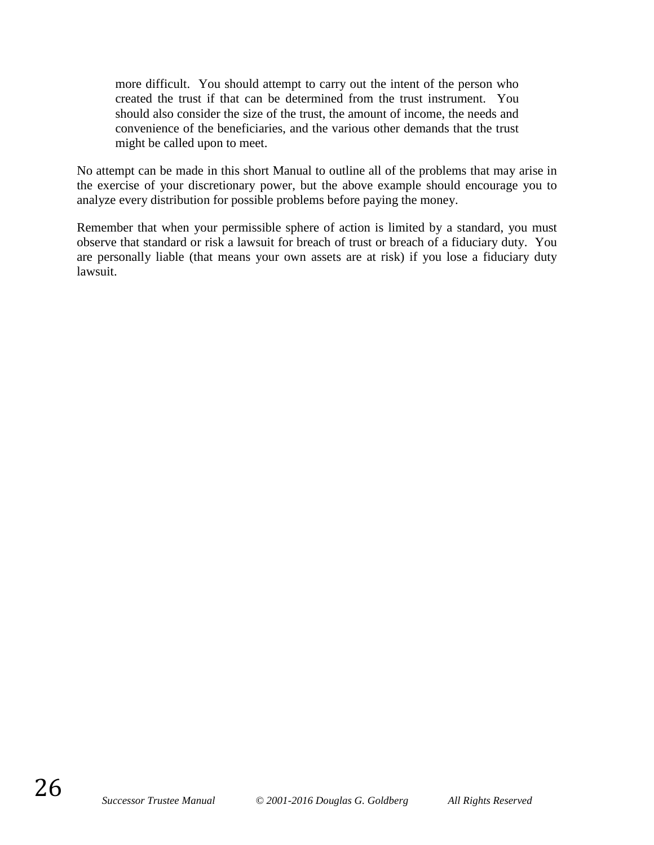more difficult. You should attempt to carry out the intent of the person who created the trust if that can be determined from the trust instrument. You should also consider the size of the trust, the amount of income, the needs and convenience of the beneficiaries, and the various other demands that the trust might be called upon to meet.

No attempt can be made in this short Manual to outline all of the problems that may arise in the exercise of your discretionary power, but the above example should encourage you to analyze every distribution for possible problems before paying the money.

Remember that when your permissible sphere of action is limited by a standard, you must observe that standard or risk a lawsuit for breach of trust or breach of a fiduciary duty. You are personally liable (that means your own assets are at risk) if you lose a fiduciary duty lawsuit.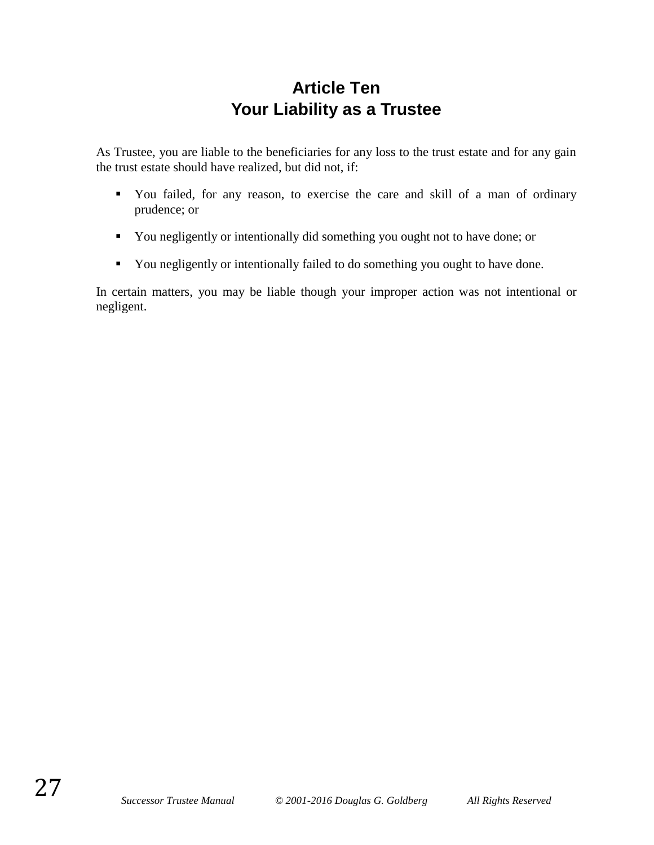## **Article Ten Your Liability as a Trustee**

As Trustee, you are liable to the beneficiaries for any loss to the trust estate and for any gain the trust estate should have realized, but did not, if:

- You failed, for any reason, to exercise the care and skill of a man of ordinary prudence; or
- You negligently or intentionally did something you ought not to have done; or
- You negligently or intentionally failed to do something you ought to have done.

In certain matters, you may be liable though your improper action was not intentional or negligent.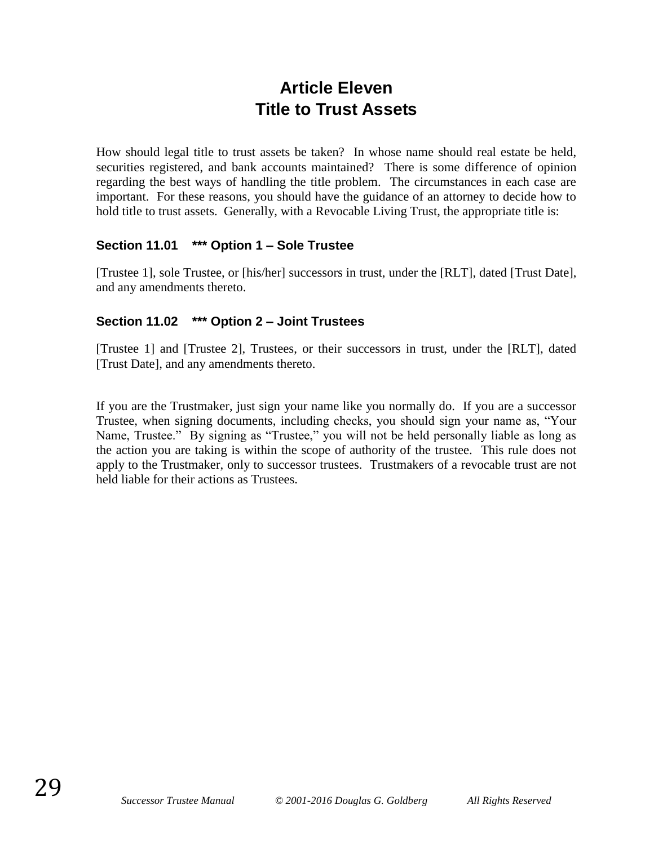## **Article Eleven Title to Trust Assets**

How should legal title to trust assets be taken? In whose name should real estate be held, securities registered, and bank accounts maintained? There is some difference of opinion regarding the best ways of handling the title problem. The circumstances in each case are important. For these reasons, you should have the guidance of an attorney to decide how to hold title to trust assets. Generally, with a Revocable Living Trust, the appropriate title is:

#### **Section 11.01 \*\*\* Option 1 – Sole Trustee**

[Trustee 1], sole Trustee, or [his/her] successors in trust, under the [RLT], dated [Trust Date], and any amendments thereto.

#### **Section 11.02 \*\*\* Option 2 – Joint Trustees**

[Trustee 1] and [Trustee 2], Trustees, or their successors in trust, under the [RLT], dated [Trust Date], and any amendments thereto.

If you are the Trustmaker, just sign your name like you normally do. If you are a successor Trustee, when signing documents, including checks, you should sign your name as, "Your Name, Trustee." By signing as "Trustee," you will not be held personally liable as long as the action you are taking is within the scope of authority of the trustee. This rule does not apply to the Trustmaker, only to successor trustees. Trustmakers of a revocable trust are not held liable for their actions as Trustees.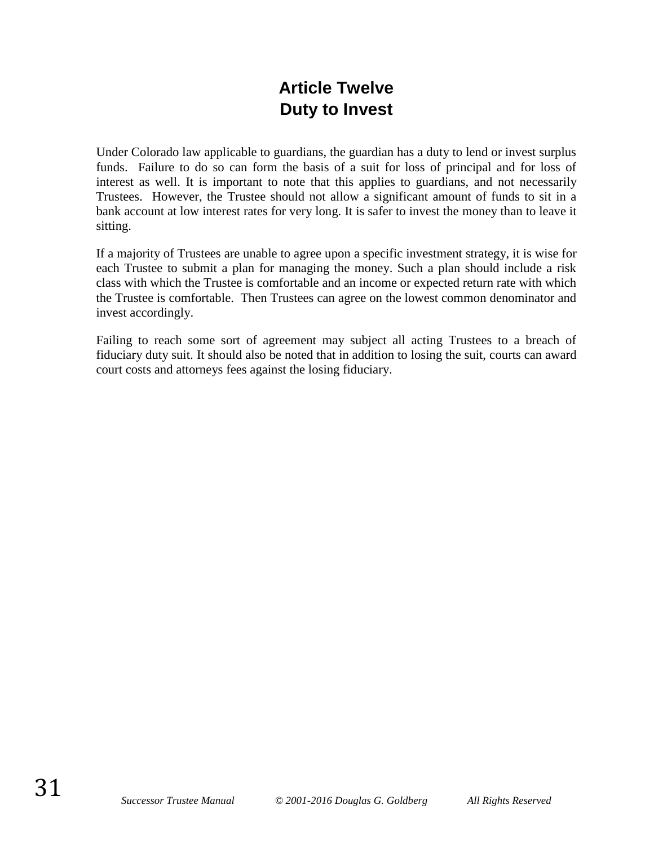## **Article Twelve Duty to Invest**

Under Colorado law applicable to guardians, the guardian has a duty to lend or invest surplus funds. Failure to do so can form the basis of a suit for loss of principal and for loss of interest as well. It is important to note that this applies to guardians, and not necessarily Trustees. However, the Trustee should not allow a significant amount of funds to sit in a bank account at low interest rates for very long. It is safer to invest the money than to leave it sitting.

If a majority of Trustees are unable to agree upon a specific investment strategy, it is wise for each Trustee to submit a plan for managing the money. Such a plan should include a risk class with which the Trustee is comfortable and an income or expected return rate with which the Trustee is comfortable. Then Trustees can agree on the lowest common denominator and invest accordingly.

Failing to reach some sort of agreement may subject all acting Trustees to a breach of fiduciary duty suit. It should also be noted that in addition to losing the suit, courts can award court costs and attorneys fees against the losing fiduciary.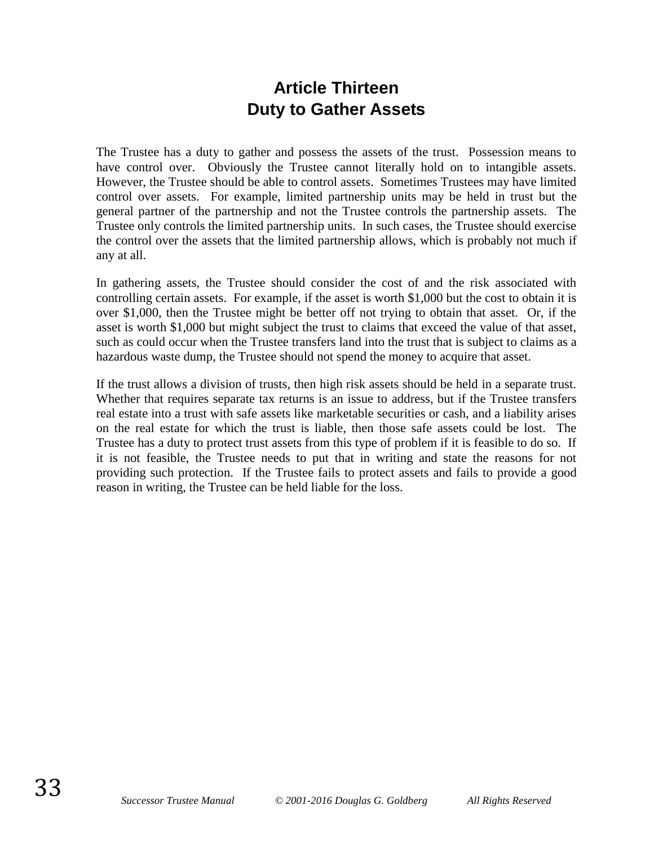## **Article Thirteen Duty to Gather Assets**

The Trustee has a duty to gather and possess the assets of the trust. Possession means to have control over. Obviously the Trustee cannot literally hold on to intangible assets. However, the Trustee should be able to control assets. Sometimes Trustees may have limited control over assets. For example, limited partnership units may be held in trust but the general partner of the partnership and not the Trustee controls the partnership assets. The Trustee only controls the limited partnership units. In such cases, the Trustee should exercise the control over the assets that the limited partnership allows, which is probably not much if any at all.

In gathering assets, the Trustee should consider the cost of and the risk associated with controlling certain assets. For example, if the asset is worth \$1,000 but the cost to obtain it is over \$1,000, then the Trustee might be better off not trying to obtain that asset. Or, if the asset is worth \$1,000 but might subject the trust to claims that exceed the value of that asset, such as could occur when the Trustee transfers land into the trust that is subject to claims as a hazardous waste dump, the Trustee should not spend the money to acquire that asset.

If the trust allows a division of trusts, then high risk assets should be held in a separate trust. Whether that requires separate tax returns is an issue to address, but if the Trustee transfers real estate into a trust with safe assets like marketable securities or cash, and a liability arises on the real estate for which the trust is liable, then those safe assets could be lost. The Trustee has a duty to protect trust assets from this type of problem if it is feasible to do so. If it is not feasible, the Trustee needs to put that in writing and state the reasons for not providing such protection. If the Trustee fails to protect assets and fails to provide a good reason in writing, the Trustee can be held liable for the loss.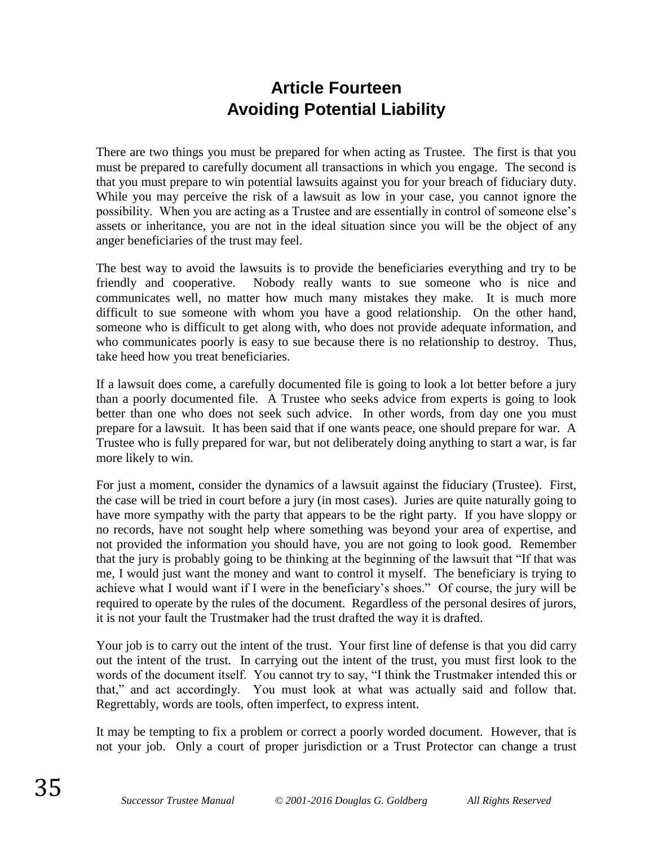## **Article Fourteen Avoiding Potential Liability**

There are two things you must be prepared for when acting as Trustee. The first is that you must be prepared to carefully document all transactions in which you engage. The second is that you must prepare to win potential lawsuits against you for your breach of fiduciary duty. While you may perceive the risk of a lawsuit as low in your case, you cannot ignore the possibility. When you are acting as a Trustee and are essentially in control of someone else's assets or inheritance, you are not in the ideal situation since you will be the object of any anger beneficiaries of the trust may feel.

The best way to avoid the lawsuits is to provide the beneficiaries everything and try to be friendly and cooperative. Nobody really wants to sue someone who is nice and communicates well, no matter how much many mistakes they make. It is much more difficult to sue someone with whom you have a good relationship. On the other hand, someone who is difficult to get along with, who does not provide adequate information, and who communicates poorly is easy to sue because there is no relationship to destroy. Thus, take heed how you treat beneficiaries.

If a lawsuit does come, a carefully documented file is going to look a lot better before a jury than a poorly documented file. A Trustee who seeks advice from experts is going to look better than one who does not seek such advice. In other words, from day one you must prepare for a lawsuit. It has been said that if one wants peace, one should prepare for war. A Trustee who is fully prepared for war, but not deliberately doing anything to start a war, is far more likely to win.

For just a moment, consider the dynamics of a lawsuit against the fiduciary (Trustee). First, the case will be tried in court before a jury (in most cases). Juries are quite naturally going to have more sympathy with the party that appears to be the right party. If you have sloppy or no records, have not sought help where something was beyond your area of expertise, and not provided the information you should have, you are not going to look good. Remember that the jury is probably going to be thinking at the beginning of the lawsuit that "If that was me, I would just want the money and want to control it myself. The beneficiary is trying to achieve what I would want if I were in the beneficiary's shoes." Of course, the jury will be required to operate by the rules of the document. Regardless of the personal desires of jurors, it is not your fault the Trustmaker had the trust drafted the way it is drafted.

Your job is to carry out the intent of the trust. Your first line of defense is that you did carry out the intent of the trust. In carrying out the intent of the trust, you must first look to the words of the document itself. You cannot try to say, "I think the Trustmaker intended this or that," and act accordingly. You must look at what was actually said and follow that. Regrettably, words are tools, often imperfect, to express intent.

It may be tempting to fix a problem or correct a poorly worded document. However, that is not your job. Only a court of proper jurisdiction or a Trust Protector can change a trust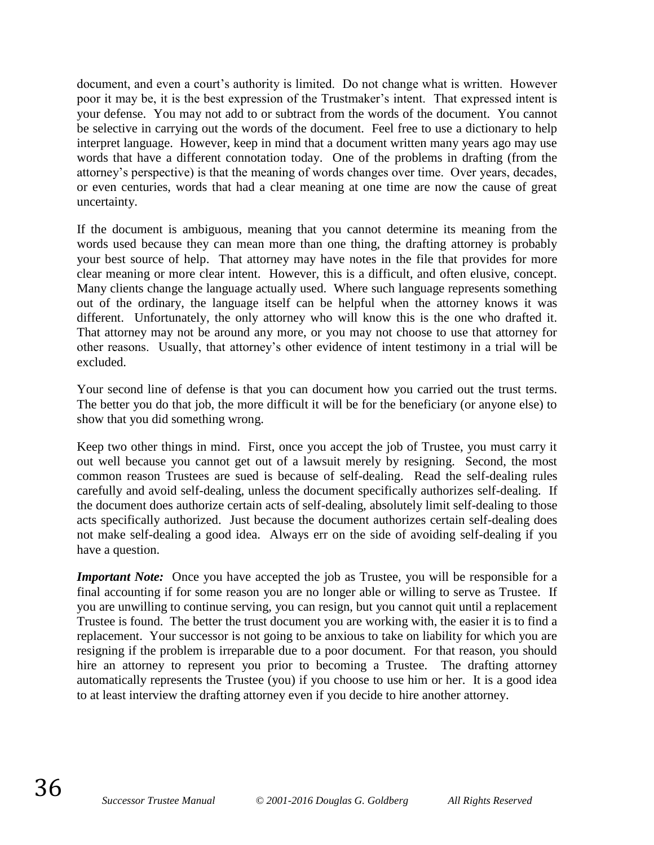document, and even a court's authority is limited. Do not change what is written. However poor it may be, it is the best expression of the Trustmaker's intent. That expressed intent is your defense. You may not add to or subtract from the words of the document. You cannot be selective in carrying out the words of the document. Feel free to use a dictionary to help interpret language. However, keep in mind that a document written many years ago may use words that have a different connotation today. One of the problems in drafting (from the attorney's perspective) is that the meaning of words changes over time. Over years, decades, or even centuries, words that had a clear meaning at one time are now the cause of great uncertainty.

If the document is ambiguous, meaning that you cannot determine its meaning from the words used because they can mean more than one thing, the drafting attorney is probably your best source of help. That attorney may have notes in the file that provides for more clear meaning or more clear intent. However, this is a difficult, and often elusive, concept. Many clients change the language actually used. Where such language represents something out of the ordinary, the language itself can be helpful when the attorney knows it was different. Unfortunately, the only attorney who will know this is the one who drafted it. That attorney may not be around any more, or you may not choose to use that attorney for other reasons. Usually, that attorney's other evidence of intent testimony in a trial will be excluded.

Your second line of defense is that you can document how you carried out the trust terms. The better you do that job, the more difficult it will be for the beneficiary (or anyone else) to show that you did something wrong.

Keep two other things in mind. First, once you accept the job of Trustee, you must carry it out well because you cannot get out of a lawsuit merely by resigning. Second, the most common reason Trustees are sued is because of self-dealing. Read the self-dealing rules carefully and avoid self-dealing, unless the document specifically authorizes self-dealing. If the document does authorize certain acts of self-dealing, absolutely limit self-dealing to those acts specifically authorized. Just because the document authorizes certain self-dealing does not make self-dealing a good idea. Always err on the side of avoiding self-dealing if you have a question.

*Important Note:* Once you have accepted the job as Trustee, you will be responsible for a final accounting if for some reason you are no longer able or willing to serve as Trustee. If you are unwilling to continue serving, you can resign, but you cannot quit until a replacement Trustee is found. The better the trust document you are working with, the easier it is to find a replacement. Your successor is not going to be anxious to take on liability for which you are resigning if the problem is irreparable due to a poor document. For that reason, you should hire an attorney to represent you prior to becoming a Trustee. The drafting attorney automatically represents the Trustee (you) if you choose to use him or her. It is a good idea to at least interview the drafting attorney even if you decide to hire another attorney.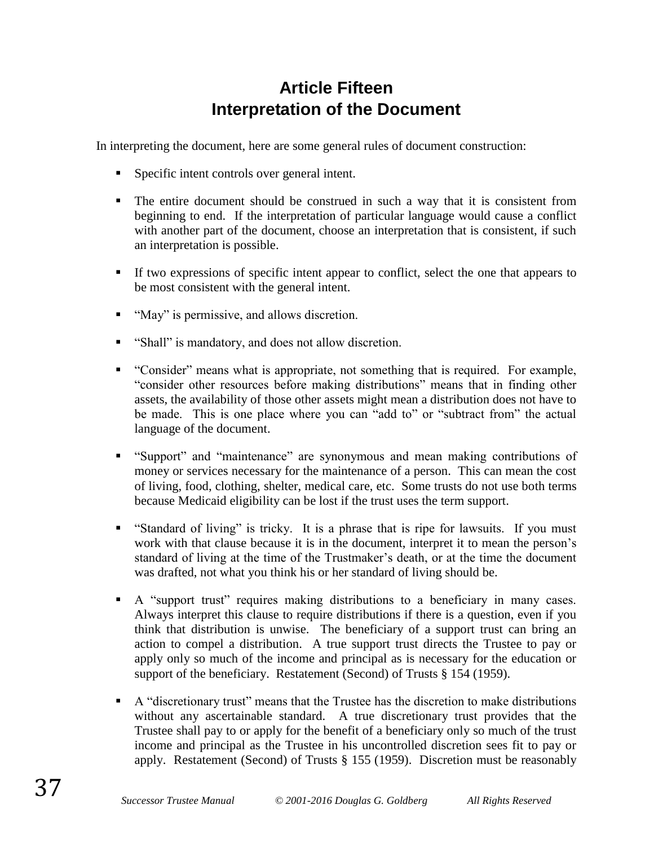## **Article Fifteen Interpretation of the Document**

In interpreting the document, here are some general rules of document construction:

- Specific intent controls over general intent.
- The entire document should be construed in such a way that it is consistent from beginning to end. If the interpretation of particular language would cause a conflict with another part of the document, choose an interpretation that is consistent, if such an interpretation is possible.
- If two expressions of specific intent appear to conflict, select the one that appears to be most consistent with the general intent.
- "May" is permissive, and allows discretion.
- "Shall" is mandatory, and does not allow discretion.
- "Consider" means what is appropriate, not something that is required. For example, "consider other resources before making distributions" means that in finding other assets, the availability of those other assets might mean a distribution does not have to be made. This is one place where you can "add to" or "subtract from" the actual language of the document.
- "Support" and "maintenance" are synonymous and mean making contributions of money or services necessary for the maintenance of a person. This can mean the cost of living, food, clothing, shelter, medical care, etc. Some trusts do not use both terms because Medicaid eligibility can be lost if the trust uses the term support.
- "Standard of living" is tricky. It is a phrase that is ripe for lawsuits. If you must work with that clause because it is in the document, interpret it to mean the person's standard of living at the time of the Trustmaker's death, or at the time the document was drafted, not what you think his or her standard of living should be.
- A "support trust" requires making distributions to a beneficiary in many cases. Always interpret this clause to require distributions if there is a question, even if you think that distribution is unwise. The beneficiary of a support trust can bring an action to compel a distribution. A true support trust directs the Trustee to pay or apply only so much of the income and principal as is necessary for the education or support of the beneficiary. Restatement (Second) of Trusts § 154 (1959).
- A "discretionary trust" means that the Trustee has the discretion to make distributions without any ascertainable standard. A true discretionary trust provides that the Trustee shall pay to or apply for the benefit of a beneficiary only so much of the trust income and principal as the Trustee in his uncontrolled discretion sees fit to pay or apply. Restatement (Second) of Trusts § 155 (1959). Discretion must be reasonably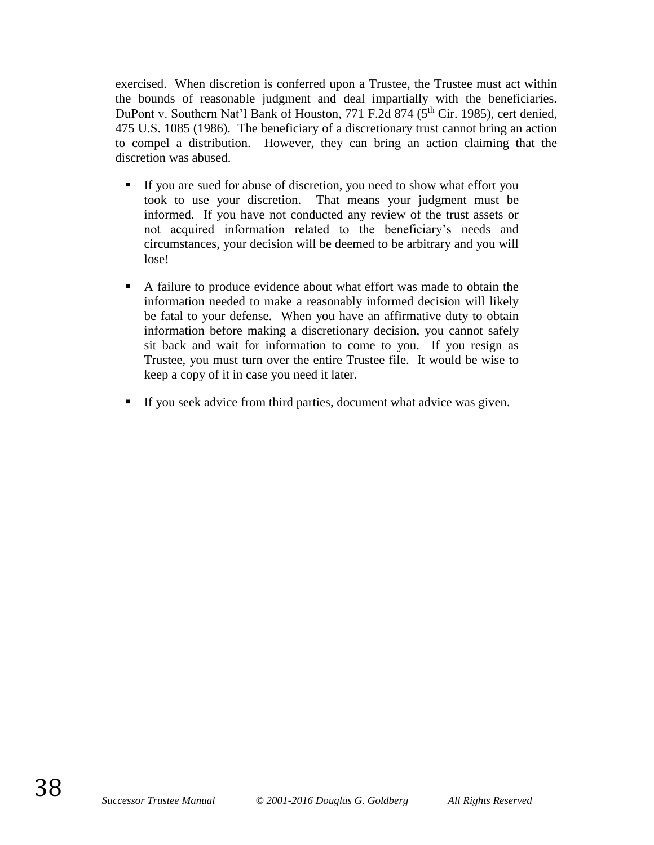exercised. When discretion is conferred upon a Trustee, the Trustee must act within the bounds of reasonable judgment and deal impartially with the beneficiaries. DuPont v. Southern Nat'l Bank of Houston, 771 F.2d 874 (5<sup>th</sup> Cir. 1985), cert denied, 475 U.S. 1085 (1986). The beneficiary of a discretionary trust cannot bring an action to compel a distribution. However, they can bring an action claiming that the discretion was abused.

- If you are sued for abuse of discretion, you need to show what effort you took to use your discretion. That means your judgment must be informed. If you have not conducted any review of the trust assets or not acquired information related to the beneficiary's needs and circumstances, your decision will be deemed to be arbitrary and you will lose!
- A failure to produce evidence about what effort was made to obtain the information needed to make a reasonably informed decision will likely be fatal to your defense. When you have an affirmative duty to obtain information before making a discretionary decision, you cannot safely sit back and wait for information to come to you. If you resign as Trustee, you must turn over the entire Trustee file. It would be wise to keep a copy of it in case you need it later.
- If you seek advice from third parties, document what advice was given.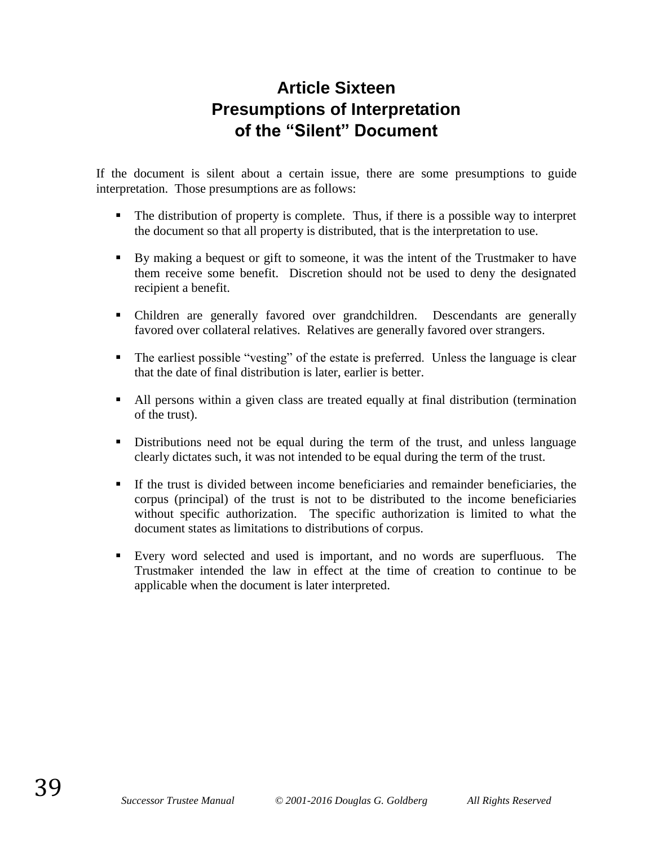## **Article Sixteen Presumptions of Interpretation of the "Silent" Document**

If the document is silent about a certain issue, there are some presumptions to guide interpretation. Those presumptions are as follows:

- The distribution of property is complete. Thus, if there is a possible way to interpret the document so that all property is distributed, that is the interpretation to use.
- By making a bequest or gift to someone, it was the intent of the Trustmaker to have them receive some benefit. Discretion should not be used to deny the designated recipient a benefit.
- Children are generally favored over grandchildren. Descendants are generally favored over collateral relatives. Relatives are generally favored over strangers.
- The earliest possible "vesting" of the estate is preferred. Unless the language is clear that the date of final distribution is later, earlier is better.
- All persons within a given class are treated equally at final distribution (termination of the trust).
- Distributions need not be equal during the term of the trust, and unless language clearly dictates such, it was not intended to be equal during the term of the trust.
- If the trust is divided between income beneficiaries and remainder beneficiaries, the corpus (principal) of the trust is not to be distributed to the income beneficiaries without specific authorization. The specific authorization is limited to what the document states as limitations to distributions of corpus.
- Every word selected and used is important, and no words are superfluous. The Trustmaker intended the law in effect at the time of creation to continue to be applicable when the document is later interpreted.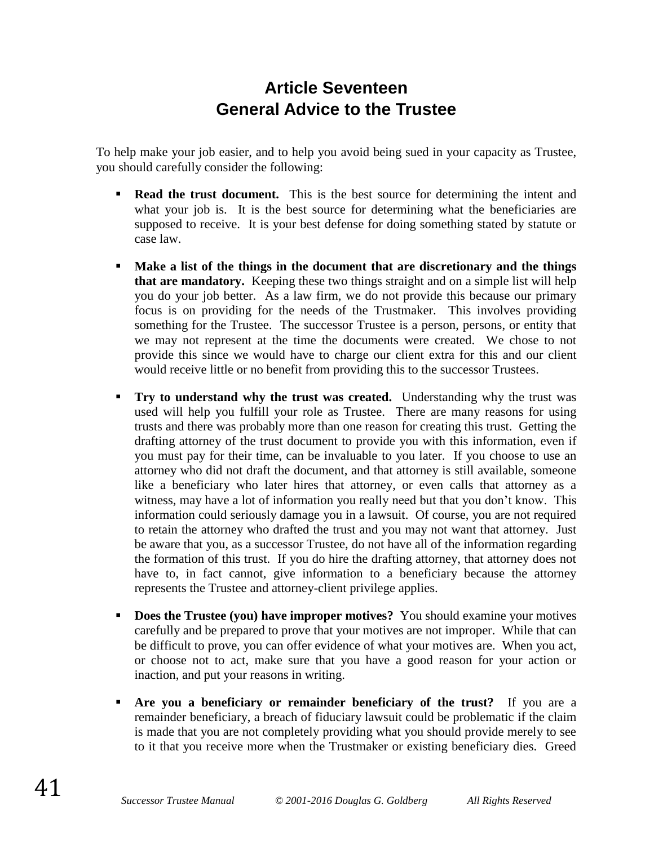## **Article Seventeen General Advice to the Trustee**

To help make your job easier, and to help you avoid being sued in your capacity as Trustee, you should carefully consider the following:

- **Read the trust document.** This is the best source for determining the intent and what your job is. It is the best source for determining what the beneficiaries are supposed to receive. It is your best defense for doing something stated by statute or case law.
- **Make a list of the things in the document that are discretionary and the things that are mandatory.** Keeping these two things straight and on a simple list will help you do your job better. As a law firm, we do not provide this because our primary focus is on providing for the needs of the Trustmaker. This involves providing something for the Trustee. The successor Trustee is a person, persons, or entity that we may not represent at the time the documents were created. We chose to not provide this since we would have to charge our client extra for this and our client would receive little or no benefit from providing this to the successor Trustees.
- **Try to understand why the trust was created.** Understanding why the trust was used will help you fulfill your role as Trustee. There are many reasons for using trusts and there was probably more than one reason for creating this trust. Getting the drafting attorney of the trust document to provide you with this information, even if you must pay for their time, can be invaluable to you later. If you choose to use an attorney who did not draft the document, and that attorney is still available, someone like a beneficiary who later hires that attorney, or even calls that attorney as a witness, may have a lot of information you really need but that you don't know. This information could seriously damage you in a lawsuit. Of course, you are not required to retain the attorney who drafted the trust and you may not want that attorney. Just be aware that you, as a successor Trustee, do not have all of the information regarding the formation of this trust. If you do hire the drafting attorney, that attorney does not have to, in fact cannot, give information to a beneficiary because the attorney represents the Trustee and attorney-client privilege applies.
- **Does the Trustee (you) have improper motives?** You should examine your motives carefully and be prepared to prove that your motives are not improper. While that can be difficult to prove, you can offer evidence of what your motives are. When you act, or choose not to act, make sure that you have a good reason for your action or inaction, and put your reasons in writing.
- **Are you a beneficiary or remainder beneficiary of the trust?** If you are a remainder beneficiary, a breach of fiduciary lawsuit could be problematic if the claim is made that you are not completely providing what you should provide merely to see to it that you receive more when the Trustmaker or existing beneficiary dies. Greed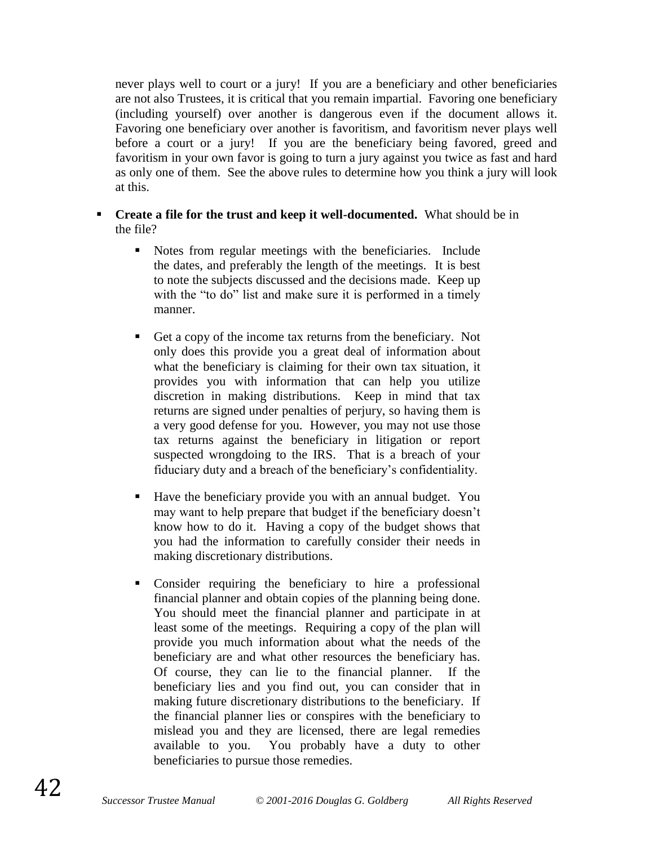never plays well to court or a jury! If you are a beneficiary and other beneficiaries are not also Trustees, it is critical that you remain impartial. Favoring one beneficiary (including yourself) over another is dangerous even if the document allows it. Favoring one beneficiary over another is favoritism, and favoritism never plays well before a court or a jury! If you are the beneficiary being favored, greed and favoritism in your own favor is going to turn a jury against you twice as fast and hard as only one of them. See the above rules to determine how you think a jury will look at this.

- **Create a file for the trust and keep it well-documented.** What should be in the file?
	- Notes from regular meetings with the beneficiaries. Include the dates, and preferably the length of the meetings. It is best to note the subjects discussed and the decisions made. Keep up with the "to do" list and make sure it is performed in a timely manner.
	- Get a copy of the income tax returns from the beneficiary. Not only does this provide you a great deal of information about what the beneficiary is claiming for their own tax situation, it provides you with information that can help you utilize discretion in making distributions. Keep in mind that tax returns are signed under penalties of perjury, so having them is a very good defense for you. However, you may not use those tax returns against the beneficiary in litigation or report suspected wrongdoing to the IRS. That is a breach of your fiduciary duty and a breach of the beneficiary's confidentiality.
	- Have the beneficiary provide you with an annual budget. You may want to help prepare that budget if the beneficiary doesn't know how to do it. Having a copy of the budget shows that you had the information to carefully consider their needs in making discretionary distributions.
	- Consider requiring the beneficiary to hire a professional financial planner and obtain copies of the planning being done. You should meet the financial planner and participate in at least some of the meetings. Requiring a copy of the plan will provide you much information about what the needs of the beneficiary are and what other resources the beneficiary has. Of course, they can lie to the financial planner. If the beneficiary lies and you find out, you can consider that in making future discretionary distributions to the beneficiary. If the financial planner lies or conspires with the beneficiary to mislead you and they are licensed, there are legal remedies available to you. You probably have a duty to other beneficiaries to pursue those remedies.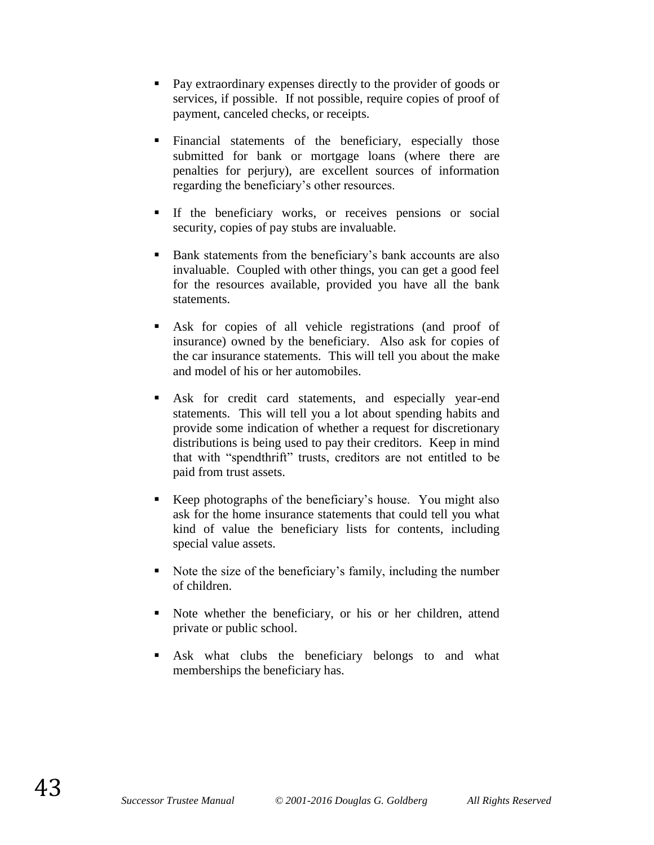- **Pay extraordinary expenses directly to the provider of goods or** services, if possible. If not possible, require copies of proof of payment, canceled checks, or receipts.
- Financial statements of the beneficiary, especially those submitted for bank or mortgage loans (where there are penalties for perjury), are excellent sources of information regarding the beneficiary's other resources.
- If the beneficiary works, or receives pensions or social security, copies of pay stubs are invaluable.
- Bank statements from the beneficiary's bank accounts are also invaluable. Coupled with other things, you can get a good feel for the resources available, provided you have all the bank statements.
- Ask for copies of all vehicle registrations (and proof of insurance) owned by the beneficiary. Also ask for copies of the car insurance statements. This will tell you about the make and model of his or her automobiles.
- Ask for credit card statements, and especially year-end statements. This will tell you a lot about spending habits and provide some indication of whether a request for discretionary distributions is being used to pay their creditors. Keep in mind that with "spendthrift" trusts, creditors are not entitled to be paid from trust assets.
- Keep photographs of the beneficiary's house. You might also ask for the home insurance statements that could tell you what kind of value the beneficiary lists for contents, including special value assets.
- Note the size of the beneficiary's family, including the number of children.
- Note whether the beneficiary, or his or her children, attend private or public school.
- Ask what clubs the beneficiary belongs to and what memberships the beneficiary has.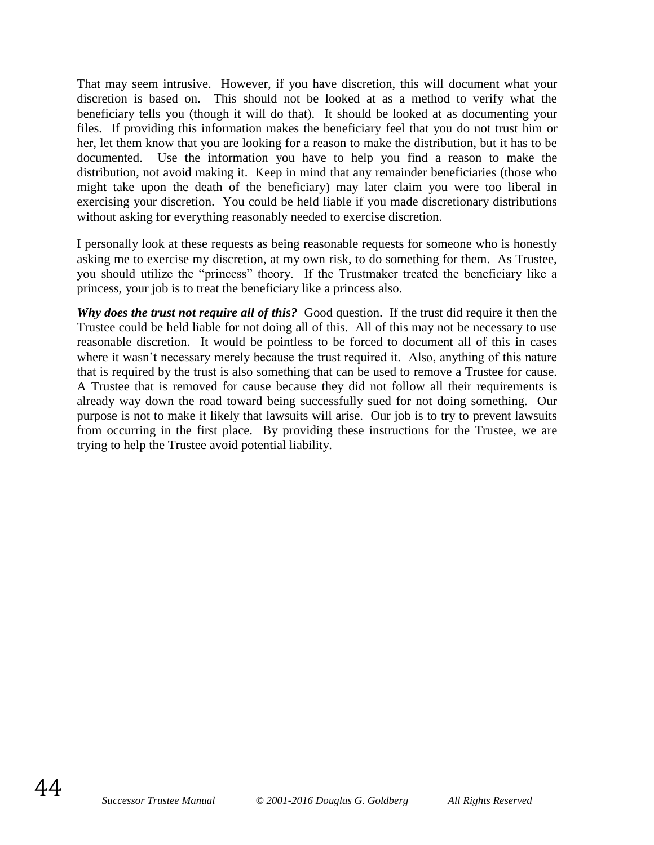That may seem intrusive. However, if you have discretion, this will document what your discretion is based on. This should not be looked at as a method to verify what the beneficiary tells you (though it will do that). It should be looked at as documenting your files. If providing this information makes the beneficiary feel that you do not trust him or her, let them know that you are looking for a reason to make the distribution, but it has to be documented. Use the information you have to help you find a reason to make the distribution, not avoid making it. Keep in mind that any remainder beneficiaries (those who might take upon the death of the beneficiary) may later claim you were too liberal in exercising your discretion. You could be held liable if you made discretionary distributions without asking for everything reasonably needed to exercise discretion.

I personally look at these requests as being reasonable requests for someone who is honestly asking me to exercise my discretion, at my own risk, to do something for them. As Trustee, you should utilize the "princess" theory. If the Trustmaker treated the beneficiary like a princess, your job is to treat the beneficiary like a princess also.

*Why does the trust not require all of this?* Good question. If the trust did require it then the Trustee could be held liable for not doing all of this. All of this may not be necessary to use reasonable discretion. It would be pointless to be forced to document all of this in cases where it wasn't necessary merely because the trust required it. Also, anything of this nature that is required by the trust is also something that can be used to remove a Trustee for cause. A Trustee that is removed for cause because they did not follow all their requirements is already way down the road toward being successfully sued for not doing something. Our purpose is not to make it likely that lawsuits will arise. Our job is to try to prevent lawsuits from occurring in the first place. By providing these instructions for the Trustee, we are trying to help the Trustee avoid potential liability.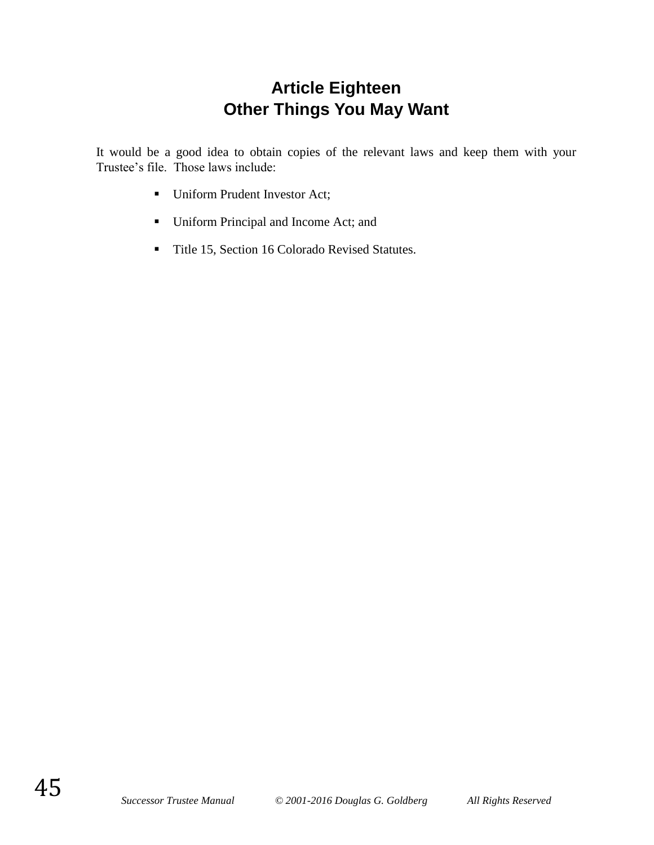## **Article Eighteen Other Things You May Want**

It would be a good idea to obtain copies of the relevant laws and keep them with your Trustee's file. Those laws include:

- Uniform Prudent Investor Act;
- Uniform Principal and Income Act; and
- Title 15, Section 16 Colorado Revised Statutes.